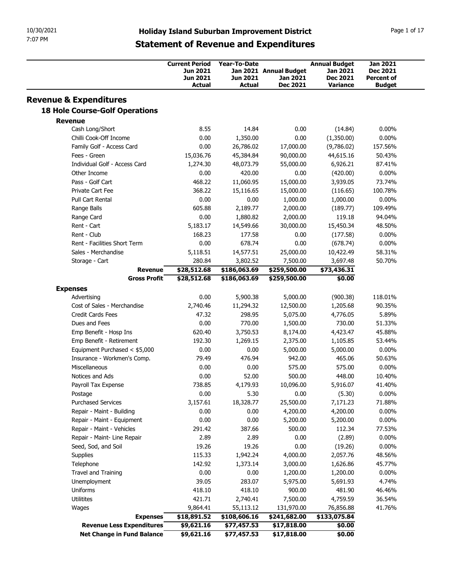| 10/30/2021<br>7:07 PM                        |                                   |                             |                                                     |                                  |                      |
|----------------------------------------------|-----------------------------------|-----------------------------|-----------------------------------------------------|----------------------------------|----------------------|
|                                              |                                   |                             |                                                     |                                  |                      |
|                                              |                                   |                             |                                                     |                                  |                      |
|                                              |                                   |                             |                                                     |                                  |                      |
|                                              |                                   |                             |                                                     |                                  |                      |
|                                              |                                   |                             |                                                     |                                  |                      |
|                                              |                                   |                             | <b>Holiday Island Suburban Improvement District</b> |                                  | Page 1 of 17         |
|                                              |                                   |                             | <b>Statement of Revenue and Expenditures</b>        |                                  |                      |
|                                              |                                   |                             |                                                     |                                  |                      |
|                                              | <b>Current Period</b><br>Jun 2021 | Year-To-Date                |                                                     | <b>Annual Budget</b><br>Jan 2021 | Jan 2021<br>Dec 2021 |
|                                              | Jun 2021                          | <b>Jun 2021</b>             | Jan 2021 Annual Budget<br>Jan 2021                  | <b>Dec 2021</b>                  | <b>Percent of</b>    |
|                                              | Actual                            | Actual                      | <b>Dec 2021</b>                                     | <b>Variance</b>                  | <b>Budget</b>        |
| <b>Revenue &amp; Expenditures</b>            |                                   |                             |                                                     |                                  |                      |
| <b>18 Hole Course-Golf Operations</b>        |                                   |                             |                                                     |                                  |                      |
| <b>Revenue</b>                               |                                   |                             |                                                     |                                  |                      |
| Cash Long/Short                              | 8.55                              | 14.84                       | 0.00                                                | (14.84)                          | $0.00\%$             |
| Chilli Cook-Off Income                       | 0.00                              | 1,350.00                    | 0.00                                                | (1,350.00)                       | $0.00\%$             |
| Family Golf - Access Card<br>Fees - Green    | 0.00<br>15,036.76                 | 26,786.02<br>45,384.84      | 17,000.00<br>90,000.00                              | (9,786.02)<br>44,615.16          | 157.56%<br>50.43%    |
| Individual Golf - Access Card                | 1,274.30                          | 48,073.79                   | 55,000.00                                           | 6,926.21                         | 87.41%               |
| Other Income                                 | 0.00                              | 420.00                      | 0.00                                                | (420.00)                         | $0.00\%$             |
| Pass - Golf Cart                             | 468.22                            | 11,060.95                   | 15,000.00                                           | 3,939.05                         | 73.74%               |
| Private Cart Fee                             | 368.22                            | 15,116.65                   | 15,000.00                                           | (116.65)                         | 100.78%              |
| Pull Cart Rental                             | 0.00                              | 0.00                        | 1,000.00                                            | 1,000.00                         | $0.00\%$             |
| Range Balls<br>Range Card                    | 605.88<br>0.00                    | 2,189.77<br>1,880.82        | 2,000.00<br>2,000.00                                | (189.77)<br>119.18               | 109.49%<br>94.04%    |
| Rent - Cart                                  | 5,183.17                          | 14,549.66                   | 30,000.00                                           | 15,450.34                        | 48.50%               |
| Rent - Club                                  | 168.23                            | 177.58                      | 0.00                                                | (177.58)                         | $0.00\%$             |
| Rent - Facilities Short Term                 | 0.00                              | 678.74                      | 0.00                                                | (678.74)                         | $0.00\%$             |
| Sales - Merchandise                          | 5,118.51                          | 14,577.51                   | 25,000.00                                           | 10,422.49                        | 58.31%               |
| Storage - Cart<br><b>Revenue</b>             | 280.84<br>\$28,512.68             | 3,802.52<br>\$186,063.69    | 7,500.00<br>\$259,500.00                            | 3,697.48<br>\$73,436.31          | 50.70%               |
| <b>Gross Profit</b>                          | \$28,512.68                       | \$186,063.69                | \$259,500.00                                        | \$0.00                           |                      |
| <b>Expenses</b>                              |                                   |                             |                                                     |                                  |                      |
| Advertising                                  | 0.00                              | 5,900.38                    | 5,000.00                                            | (900.38)                         | 118.01%              |
| Cost of Sales - Merchandise                  | 2,740.46                          | 11,294.32                   | 12,500.00                                           | 1,205.68                         | 90.35%               |
| Credit Cards Fees                            | 47.32                             | 298.95                      | 5,075.00                                            | 4,776.05                         | 5.89%                |
| Dues and Fees<br>Emp Benefit - Hosp Ins      | 0.00<br>620.40                    | 770.00<br>3,750.53          | 1,500.00<br>8,174.00                                | 730.00<br>4,423.47               | 51.33%<br>45.88%     |
| Emp Benefit - Retirement                     | 192.30                            | 1,269.15                    | 2,375.00                                            | 1,105.85                         | 53.44%               |
| Equipment Purchased < \$5,000                | 0.00                              | 0.00                        | 5,000.00                                            | 5,000.00                         | $0.00\%$             |
| Insurance - Workmen's Comp.                  | 79.49                             | 476.94                      | 942.00                                              | 465.06                           | 50.63%               |
| Miscellaneous                                | 0.00                              | 0.00                        | 575.00                                              | 575.00                           | $0.00\%$             |
| Notices and Ads                              | 0.00                              | 52.00                       | 500.00                                              | 448.00                           | 10.40%               |
| Payroll Tax Expense<br>Postage               | 738.85<br>0.00                    | 4,179.93<br>5.30            | 10,096.00<br>0.00                                   | 5,916.07<br>(5.30)               | 41.40%<br>$0.00\%$   |
| <b>Purchased Services</b>                    | 3,157.61                          | 18,328.77                   | 25,500.00                                           | 7,171.23                         | 71.88%               |
| Repair - Maint - Building                    | 0.00                              | 0.00                        | 4,200.00                                            | 4,200.00                         | $0.00\%$             |
| Repair - Maint - Equipment                   | 0.00                              | 0.00                        | 5,200.00                                            | 5,200.00                         | $0.00\%$             |
| Repair - Maint - Vehicles                    | 291.42                            | 387.66                      | 500.00                                              | 112.34                           | 77.53%               |
| Repair - Maint- Line Repair                  | 2.89                              | 2.89                        | 0.00                                                | (2.89)                           | $0.00\%$             |
| Seed, Sod, and Soil                          | 19.26                             | 19.26                       | 0.00                                                | (19.26)                          | $0.00\%$             |
| Supplies<br>Telephone                        | 115.33<br>142.92                  | 1,942.24<br>1,373.14        | 4,000.00<br>3,000.00                                | 2,057.76<br>1,626.86             | 48.56%<br>45.77%     |
| Travel and Training                          | 0.00                              | 0.00                        | 1,200.00                                            | 1,200.00                         | $0.00\%$             |
| Unemployment                                 | 39.05                             | 283.07                      | 5,975.00                                            | 5,691.93                         | 4.74%                |
| Uniforms                                     | 418.10                            | 418.10                      | 900.00                                              | 481.90                           | 46.46%               |
|                                              | 421.71                            | 2,740.41                    | 7,500.00                                            | 4,759.59                         | 36.54%               |
| Utilitites                                   |                                   |                             |                                                     |                                  | 41.76%               |
| Wages                                        | 9,864.41                          | 55,113.12                   | 131,970.00                                          | 76,856.88                        |                      |
| <b>Expenses</b><br>Revenue Less Expenditures | \$18,891.52<br>\$9,621.16         | \$108,606.16<br>\$77,457.53 | \$241,682.00<br>\$17,818.00                         | \$133,075.84<br>\$0.00           |                      |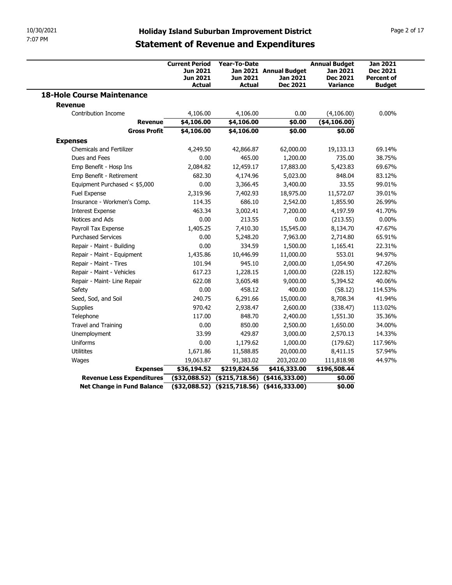| 10/30/2021<br>7:07 PM                               |                                   |                                                                                                     |                                                  |                                                              |                                                                        |                                                                          |
|-----------------------------------------------------|-----------------------------------|-----------------------------------------------------------------------------------------------------|--------------------------------------------------|--------------------------------------------------------------|------------------------------------------------------------------------|--------------------------------------------------------------------------|
|                                                     |                                   |                                                                                                     |                                                  |                                                              |                                                                        |                                                                          |
|                                                     |                                   |                                                                                                     |                                                  |                                                              |                                                                        | Page 2 of 17                                                             |
|                                                     |                                   | <b>Holiday Island Suburban Improvement District</b><br><b>Statement of Revenue and Expenditures</b> |                                                  |                                                              |                                                                        |                                                                          |
|                                                     |                                   |                                                                                                     |                                                  |                                                              |                                                                        |                                                                          |
|                                                     |                                   | <b>Current Period</b><br><b>Jun 2021</b><br><b>Jun 2021</b><br><b>Actual</b>                        | <b>Year-To-Date</b><br>Jun 2021<br><b>Actual</b> | Jan 2021 Annual Budget<br><b>Jan 2021</b><br><b>Dec 2021</b> | <b>Annual Budget</b><br>Jan 2021<br><b>Dec 2021</b><br><b>Variance</b> | <b>Jan 2021</b><br><b>Dec 2021</b><br><b>Percent of</b><br><b>Budget</b> |
| <b>18-Hole Course Maintenance</b>                   |                                   |                                                                                                     |                                                  |                                                              |                                                                        |                                                                          |
| <b>Revenue</b><br>Contribution Income               |                                   | 4,106.00                                                                                            | 4,106.00                                         | 0.00                                                         | (4,106.00)                                                             | $0.00\%$                                                                 |
|                                                     | <b>Revenue</b>                    | \$4,106.00                                                                                          | \$4,106.00                                       | \$0.00                                                       | ( \$4,106.00)                                                          |                                                                          |
| <b>Expenses</b>                                     | <b>Gross Profit</b>               | \$4,106.00                                                                                          | \$4,106.00                                       | \$0.00                                                       | \$0.00                                                                 |                                                                          |
| <b>Chemicals and Fertilizer</b>                     |                                   | 4,249.50                                                                                            | 42,866.87                                        | 62,000.00                                                    | 19,133.13                                                              | 69.14%                                                                   |
| Dues and Fees                                       |                                   | 0.00                                                                                                | 465.00                                           | 1,200.00                                                     | 735.00                                                                 | 38.75%                                                                   |
| Emp Benefit - Hosp Ins                              |                                   | 2,084.82                                                                                            | 12,459.17                                        | 17,883.00                                                    | 5,423.83                                                               | 69.67%                                                                   |
| Emp Benefit - Retirement                            |                                   | 682.30                                                                                              | 4,174.96                                         | 5,023.00                                                     | 848.04                                                                 | 83.12%                                                                   |
| Fuel Expense                                        | Equipment Purchased < \$5,000     | 0.00<br>2,319.96                                                                                    | 3,366.45<br>7,402.93                             | 3,400.00<br>18,975.00                                        | 33.55<br>11,572.07                                                     | 99.01%<br>39.01%                                                         |
|                                                     | Insurance - Workmen's Comp.       | 114.35                                                                                              | 686.10                                           | 2,542.00                                                     | 1,855.90                                                               | 26.99%                                                                   |
| <b>Interest Expense</b>                             |                                   | 463.34                                                                                              | 3,002.41                                         | 7,200.00                                                     | 4,197.59                                                               | 41.70%                                                                   |
| Notices and Ads                                     |                                   | 0.00                                                                                                | 213.55                                           | 0.00                                                         | (213.55)                                                               | $0.00\%$                                                                 |
| Payroll Tax Expense                                 |                                   | 1,405.25                                                                                            | 7,410.30                                         | 15,545.00                                                    | 8,134.70                                                               | 47.67%                                                                   |
| <b>Purchased Services</b>                           |                                   | 0.00                                                                                                | 5,248.20                                         | 7,963.00                                                     | 2,714.80                                                               | 65.91%                                                                   |
| Repair - Maint - Building                           |                                   | 0.00                                                                                                | 334.59                                           | 1,500.00                                                     | 1,165.41                                                               | 22.31%                                                                   |
|                                                     | Repair - Maint - Equipment        | 1,435.86                                                                                            | 10,446.99                                        | 11,000.00                                                    | 553.01                                                                 | 94.97%                                                                   |
| Repair - Maint - Tires<br>Repair - Maint - Vehicles |                                   | 101.94<br>617.23                                                                                    | 945.10<br>1,228.15                               | 2,000.00<br>1,000.00                                         | 1,054.90<br>(228.15)                                                   | 47.26%<br>122.82%                                                        |
|                                                     | Repair - Maint- Line Repair       | 622.08                                                                                              | 3,605.48                                         | 9,000.00                                                     | 5,394.52                                                               | 40.06%                                                                   |
| Safety                                              |                                   | 0.00                                                                                                | 458.12                                           | 400.00                                                       | (58.12)                                                                | 114.53%                                                                  |
| Seed, Sod, and Soil                                 |                                   | 240.75                                                                                              | 6,291.66                                         | 15,000.00                                                    | 8,708.34                                                               | 41.94%                                                                   |
| Supplies                                            |                                   | 970.42                                                                                              | 2,938.47                                         | 2,600.00                                                     | (338.47)                                                               | 113.02%                                                                  |
| Telephone                                           |                                   | 117.00                                                                                              | 848.70                                           | 2,400.00                                                     | 1,551.30                                                               | 35.36%                                                                   |
| Travel and Training                                 |                                   | 0.00                                                                                                | 850.00                                           | 2,500.00                                                     | 1,650.00                                                               | 34.00%                                                                   |
| Unemployment                                        |                                   | 33.99                                                                                               | 429.87                                           | 3,000.00                                                     | 2,570.13                                                               | 14.33%                                                                   |
| Uniforms                                            |                                   | 0.00                                                                                                | 1,179.62                                         | 1,000.00                                                     | (179.62)                                                               | 117.96%                                                                  |
| Utilitites                                          |                                   | 1,671.86                                                                                            | 11,588.85                                        | 20,000.00                                                    | 8,411.15                                                               | 57.94%                                                                   |
|                                                     | <b>Expenses</b>                   | 19,063.87<br>\$36,194.52                                                                            | 91,383.02<br>\$219,824.56                        | 203,202.00<br>\$416,333.00                                   | 111,818.98<br>\$196,508.44                                             | 44.97%                                                                   |
| Wages                                               | Revenue Less Expenditures         |                                                                                                     | $($ \$32,088.52) (\$215,718.56) (\$416,333.00)   |                                                              | \$0.00                                                                 |                                                                          |
|                                                     | <b>Net Change in Fund Balance</b> | $($32,088.52)$ $($215,718.56)$ $($416,333.00)$                                                      |                                                  |                                                              | \$0.00                                                                 |                                                                          |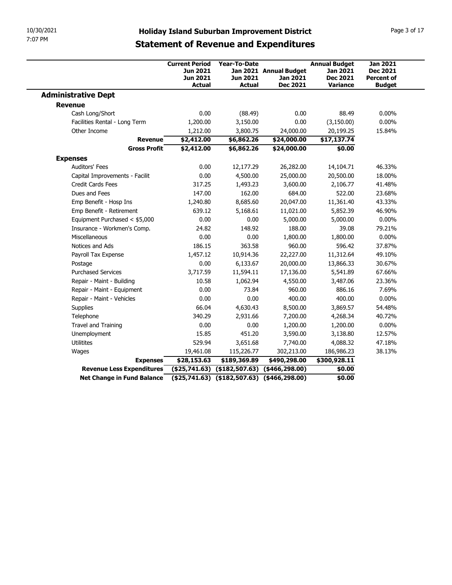| 10/30/2021<br>7:07 PM                                   |                        |                                                                                                     |                                                     |                          |                   |
|---------------------------------------------------------|------------------------|-----------------------------------------------------------------------------------------------------|-----------------------------------------------------|--------------------------|-------------------|
|                                                         |                        |                                                                                                     |                                                     |                          |                   |
|                                                         |                        |                                                                                                     |                                                     |                          |                   |
|                                                         |                        |                                                                                                     |                                                     |                          |                   |
|                                                         |                        |                                                                                                     |                                                     |                          |                   |
|                                                         |                        |                                                                                                     |                                                     |                          |                   |
|                                                         |                        |                                                                                                     | <b>Holiday Island Suburban Improvement District</b> |                          | Page 3 of 17      |
|                                                         |                        |                                                                                                     | <b>Statement of Revenue and Expenditures</b>        |                          |                   |
|                                                         |                        |                                                                                                     |                                                     |                          |                   |
|                                                         | <b>Current Period</b>  | Year-To-Date                                                                                        |                                                     | <b>Annual Budget</b>     | <b>Jan 2021</b>   |
|                                                         | Jun 2021               |                                                                                                     | Jan 2021 Annual Budget                              | Jan 2021                 | <b>Dec 2021</b>   |
|                                                         | Jun 2021               | <b>Jun 2021</b>                                                                                     | Jan 2021                                            | <b>Dec 2021</b>          | <b>Percent of</b> |
|                                                         | <b>Actual</b>          | <b>Actual</b>                                                                                       | <b>Dec 2021</b>                                     | <b>Variance</b>          | <b>Budget</b>     |
| <b>Administrative Dept</b>                              |                        |                                                                                                     |                                                     |                          |                   |
| <b>Revenue</b>                                          |                        |                                                                                                     |                                                     |                          |                   |
| Cash Long/Short                                         | 0.00                   | (88.49)                                                                                             | 0.00                                                | 88.49                    | $0.00\%$          |
| Facilities Rental - Long Term                           | 1,200.00               | 3,150.00                                                                                            | 0.00                                                | (3,150.00)               | $0.00\%$          |
| Other Income<br><b>Revenue</b>                          | 1,212.00<br>\$2,412.00 | 3,800.75<br>\$6,862.26                                                                              | 24,000.00<br>\$24,000.00                            | 20,199.25<br>\$17,137.74 | 15.84%            |
| <b>Gross Profit</b>                                     | \$2,412.00             | \$6,862.26                                                                                          | \$24,000.00                                         | \$0.00                   |                   |
| <b>Expenses</b>                                         |                        |                                                                                                     |                                                     |                          |                   |
| Auditors' Fees                                          | 0.00                   | 12,177.29                                                                                           | 26,282.00                                           | 14,104.71                | 46.33%            |
| Capital Improvements - Facilit                          | 0.00                   | 4,500.00                                                                                            | 25,000.00                                           | 20,500.00                | 18.00%            |
| Credit Cards Fees                                       | 317.25                 | 1,493.23                                                                                            | 3,600.00                                            | 2,106.77                 | 41.48%            |
| Dues and Fees                                           | 147.00                 | 162.00                                                                                              | 684.00                                              | 522.00                   | 23.68%            |
| Emp Benefit - Hosp Ins                                  | 1,240.80               | 8,685.60                                                                                            | 20,047.00                                           | 11,361.40                | 43.33%            |
| Emp Benefit - Retirement                                | 639.12                 | 5,168.61                                                                                            | 11,021.00                                           | 5,852.39                 | 46.90%            |
| Equipment Purchased < \$5,000                           | 0.00                   | 0.00                                                                                                | 5,000.00                                            | 5,000.00                 | $0.00\%$          |
| Insurance - Workmen's Comp.                             | 24.82                  | 148.92                                                                                              | 188.00                                              | 39.08                    | 79.21%            |
| Miscellaneous                                           | 0.00                   | 0.00                                                                                                | 1,800.00                                            | 1,800.00                 | $0.00\%$          |
| Notices and Ads                                         | 186.15                 | 363.58                                                                                              | 960.00                                              | 596.42                   | 37.87%            |
| Payroll Tax Expense                                     | 1,457.12               | 10,914.36                                                                                           | 22,227.00                                           | 11,312.64                | 49.10%            |
| Postage                                                 | 0.00                   | 6,133.67                                                                                            | 20,000.00                                           | 13,866.33                | 30.67%            |
| <b>Purchased Services</b>                               | 3,717.59               | 11,594.11                                                                                           | 17,136.00                                           | 5,541.89                 | 67.66%            |
|                                                         | 10.58                  | 1,062.94                                                                                            | 4,550.00                                            | 3,487.06                 | 23.36%            |
| Repair - Maint - Building                               | 0.00                   | 73.84                                                                                               | 960.00                                              | 886.16                   | 7.69%             |
| Repair - Maint - Equipment                              |                        | 0.00                                                                                                | 400.00                                              | 400.00                   | $0.00\%$          |
| Repair - Maint - Vehicles                               | 0.00                   | 4,630.43                                                                                            | 8,500.00                                            | 3,869.57                 | 54.48%            |
| Supplies                                                | 66.04                  |                                                                                                     | 7,200.00                                            | 4,268.34                 | 40.72%            |
| Telephone                                               | 340.29                 | 2,931.66                                                                                            |                                                     |                          |                   |
| Travel and Training                                     | 0.00                   | 0.00                                                                                                | 1,200.00                                            | 1,200.00                 | $0.00\%$          |
| Unemployment                                            | 15.85                  | 451.20                                                                                              | 3,590.00                                            | 3,138.80                 | 12.57%            |
| Utilitites                                              | 529.94                 | 3,651.68                                                                                            | 7,740.00                                            | 4,088.32                 | 47.18%            |
| Wages                                                   | 19,461.08              | 115,226.77                                                                                          | 302,213.00                                          | 186,986.23               | 38.13%            |
| <b>Expenses</b>                                         | \$28,153.63            | \$189,369.89                                                                                        | \$490,298.00                                        | \$300,928.11             |                   |
| Revenue Less Expenditures<br>Net Change in Fund Balance |                        | $($ \$25,741.63) $($ \$182,507.63) $($ \$466,298.00)<br>(\$25,741.63) (\$182,507.63) (\$466,298.00) |                                                     | \$0.00<br>\$0.00         |                   |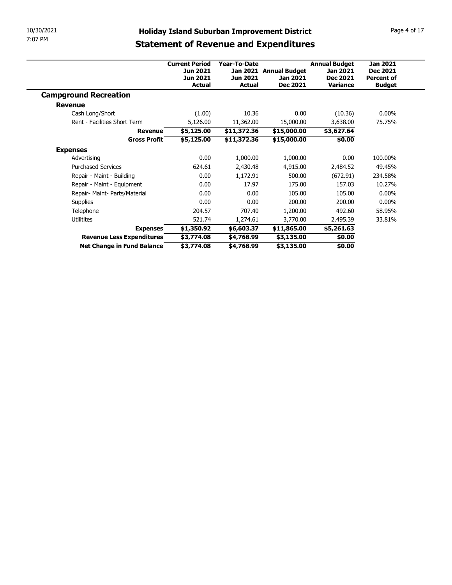| 10/30/2021                    | <b>Holiday Island Suburban Improvement District</b> |                      |                        |                 | Page 4 of 17      |  |  |  |
|-------------------------------|-----------------------------------------------------|----------------------|------------------------|-----------------|-------------------|--|--|--|
| 7:07 PM                       |                                                     |                      |                        |                 |                   |  |  |  |
|                               | <b>Statement of Revenue and Expenditures</b>        |                      |                        |                 |                   |  |  |  |
|                               | <b>Current Period</b>                               | <b>Annual Budget</b> | <b>Jan 2021</b>        |                 |                   |  |  |  |
|                               | Jun 2021                                            | Year-To-Date         | Jan 2021 Annual Budget | Jan 2021        | <b>Dec 2021</b>   |  |  |  |
|                               | Jun 2021                                            | Jun 2021             | Jan 2021               | Dec 2021        | <b>Percent of</b> |  |  |  |
|                               | <b>Actual</b>                                       | <b>Actual</b>        | <b>Dec 2021</b>        | <b>Variance</b> | <b>Budget</b>     |  |  |  |
|                               |                                                     |                      |                        |                 |                   |  |  |  |
| <b>Campground Recreation</b>  |                                                     |                      |                        |                 |                   |  |  |  |
| <b>Revenue</b>                |                                                     |                      |                        |                 |                   |  |  |  |
| Cash Long/Short               | (1.00)                                              | 10.36                | 0.00                   | (10.36)         | $0.00\%$          |  |  |  |
| Rent - Facilities Short Term  | 5,126.00                                            | 11,362.00            | 15,000.00              | 3,638.00        | 75.75%            |  |  |  |
| <b>Revenue</b>                | \$5,125.00                                          | \$11,372.36          | \$15,000.00            | 53,627.64       |                   |  |  |  |
| <b>Gross Profit</b>           | \$5,125.00                                          | \$11,372.36          | \$15,000.00            | \$0.00          |                   |  |  |  |
| <b>Expenses</b>               |                                                     |                      |                        |                 |                   |  |  |  |
| Advertising                   | 0.00                                                | 1,000.00             | 1,000.00               | 0.00            | 100.00%           |  |  |  |
| <b>Purchased Services</b>     | 624.61                                              | 2,430.48             | 4,915.00               | 2,484.52        | 49.45%            |  |  |  |
| Repair - Maint - Building     | 0.00                                                | 1,172.91             | 500.00                 | (672.91)        | 234.58%           |  |  |  |
| Repair - Maint - Equipment    | 0.00                                                | 17.97                | 175.00                 | 157.03          | 10.27%            |  |  |  |
| Repair- Maint- Parts/Material | 0.00                                                | 0.00                 | 105.00                 | 105.00          | $0.00\%$          |  |  |  |
| Supplies                      | 0.00                                                | 0.00                 | 200.00                 | 200.00          | $0.00\%$          |  |  |  |
| Telephone                     | 204.57                                              | 707.40               | 1,200.00               | 492.60          | 58.95%            |  |  |  |
| Utilitites                    | 521.74                                              | 1,274.61             | 3,770.00               | 2,495.39        | 33.81%            |  |  |  |
| <b>Expenses</b>               | \$1,350.92                                          | \$6,603.37           | \$11,865.00            | \$5,261.63      |                   |  |  |  |
| Revenue Less Expenditures     | \$3,774.08                                          | \$4,768.99           | \$3,135.00             | \$0.00          |                   |  |  |  |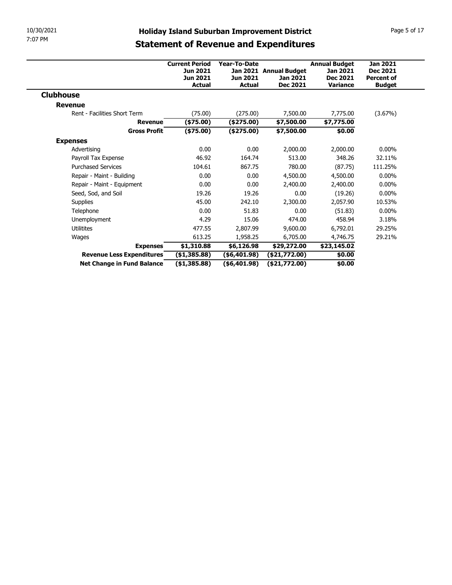| 10/30/2021                                              |                              |                                  | <b>Holiday Island Suburban Improvement District</b> |                      | Page 5 of 17      |
|---------------------------------------------------------|------------------------------|----------------------------------|-----------------------------------------------------|----------------------|-------------------|
|                                                         |                              |                                  |                                                     |                      |                   |
|                                                         |                              |                                  | <b>Statement of Revenue and Expenditures</b>        |                      |                   |
|                                                         | <b>Current Period</b>        | Year-To-Date                     |                                                     | <b>Annual Budget</b> | <b>Jan 2021</b>   |
|                                                         | Jun 2021                     |                                  | Jan 2021 Annual Budget                              | Jan 2021             | <b>Dec 2021</b>   |
|                                                         | Jun 2021                     | Jun 2021                         | Jan 2021                                            | <b>Dec 2021</b>      | <b>Percent of</b> |
|                                                         | <b>Actual</b>                | <b>Actual</b>                    | <b>Dec 2021</b>                                     | <b>Variance</b>      | <b>Budget</b>     |
| <b>Clubhouse</b>                                        |                              |                                  |                                                     |                      |                   |
|                                                         |                              |                                  |                                                     |                      |                   |
| <b>Revenue</b>                                          |                              | (275.00)                         | 7,500.00                                            | 7,775.00             | (3.67%)           |
| Rent - Facilities Short Term                            | (75.00)                      |                                  |                                                     |                      |                   |
| <b>Revenue</b>                                          | (\$75.00)                    | $(*275.00)$                      | \$7,500.00                                          | \$7,775.00           |                   |
| <b>Gross Profit</b>                                     | $(*75.00)$                   | (\$275.00)                       | \$7,500.00                                          | \$0.00               |                   |
| <b>Expenses</b>                                         |                              |                                  |                                                     |                      |                   |
| Advertising                                             | 0.00                         | 0.00                             | 2,000.00                                            | 2,000.00             | $0.00\%$          |
| Payroll Tax Expense                                     | 46.92                        | 164.74                           | 513.00                                              | 348.26               | 32.11%            |
| <b>Purchased Services</b>                               | 104.61                       | 867.75                           | 780.00                                              | (87.75)              | 111.25%           |
| Repair - Maint - Building                               | 0.00                         | 0.00                             | 4,500.00                                            | 4,500.00             | $0.00\%$          |
| Repair - Maint - Equipment                              | 0.00                         | 0.00                             | 2,400.00                                            | 2,400.00             | $0.00\%$          |
| Seed, Sod, and Soil                                     | 19.26                        | 19.26                            | 0.00                                                | (19.26)              | $0.00\%$          |
| Supplies                                                | 45.00                        | 242.10                           | 2,300.00                                            | 2,057.90             | 10.53%            |
| Telephone                                               | 0.00                         | 51.83                            | 0.00                                                | (51.83)              | $0.00\%$          |
| Unemployment                                            | 4.29                         | 15.06                            | 474.00                                              | 458.94               | 3.18%             |
| Utilitites                                              | 477.55                       | 2,807.99                         | 9,600.00                                            | 6,792.01             | 29.25%            |
| Wages                                                   | 613.25                       | 1,958.25                         | 6,705.00                                            | 4,746.75             | 29.21%            |
| <b>Expenses</b>                                         | \$1,310.88                   | \$6,126.98                       | \$29,272.00                                         | \$23,145.02          |                   |
| Revenue Less Expenditures<br>Net Change in Fund Balance | (\$1,385.88)<br>(\$1,385.88) | $($ \$6,401.98)<br>( \$6,401.98) | (\$21,772.00)<br>( \$21,772.00)                     | \$0.00<br>\$0.00     |                   |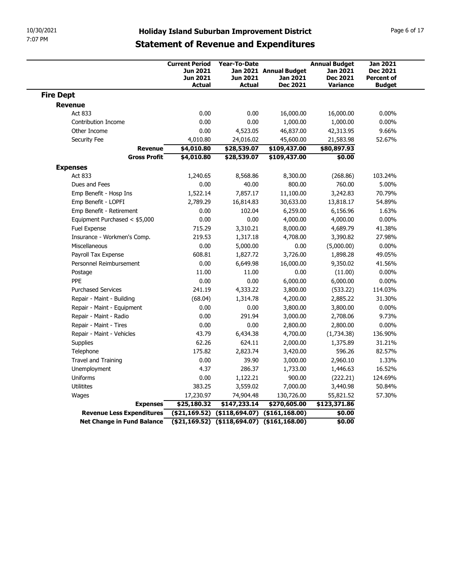| 10/30/2021       |                               |                                                                |                                                   |                                                                                                     |                                                                        |                                                                          |
|------------------|-------------------------------|----------------------------------------------------------------|---------------------------------------------------|-----------------------------------------------------------------------------------------------------|------------------------------------------------------------------------|--------------------------------------------------------------------------|
| 7:07 PM          |                               |                                                                |                                                   | <b>Holiday Island Suburban Improvement District</b><br><b>Statement of Revenue and Expenditures</b> |                                                                        | Page 6 of 17                                                             |
|                  |                               | <b>Current Period</b><br>Jun 2021<br>Jun 2021<br><b>Actual</b> | Year-To-Date<br><b>Jun 2021</b><br><b>Actual</b>  | Jan 2021 Annual Budget<br>Jan 2021<br><b>Dec 2021</b>                                               | <b>Annual Budget</b><br>Jan 2021<br><b>Dec 2021</b><br><b>Variance</b> | <b>Jan 2021</b><br><b>Dec 2021</b><br><b>Percent of</b><br><b>Budget</b> |
| <b>Fire Dept</b> |                               |                                                                |                                                   |                                                                                                     |                                                                        |                                                                          |
| <b>Revenue</b>   |                               |                                                                |                                                   |                                                                                                     |                                                                        |                                                                          |
| Act 833          |                               | 0.00                                                           | 0.00                                              | 16,000.00                                                                                           | 16,000.00                                                              | $0.00\%$                                                                 |
|                  | Contribution Income           | 0.00                                                           | 0.00                                              | 1,000.00                                                                                            | 1,000.00                                                               | $0.00\%$                                                                 |
| Other Income     |                               | 0.00                                                           | 4,523.05                                          | 46,837.00                                                                                           | 42,313.95                                                              | 9.66%                                                                    |
| Security Fee     | <b>Revenue</b>                | 4,010.80<br>\$4,010.80                                         | 24,016.02<br>\$28,539.07                          | 45,600.00<br>\$109,437.00                                                                           | 21,583.98<br>\$80,897.93                                               | 52.67%                                                                   |
|                  | <b>Gross Profit</b>           | \$4,010.80                                                     | \$28,539.07                                       | \$109,437.00                                                                                        | \$0.00                                                                 |                                                                          |
| <b>Expenses</b>  |                               |                                                                |                                                   |                                                                                                     |                                                                        |                                                                          |
| Act 833          |                               | 1,240.65                                                       | 8,568.86                                          | 8,300.00                                                                                            | (268.86)                                                               | 103.24%                                                                  |
| Dues and Fees    |                               | 0.00                                                           | 40.00                                             | 800.00                                                                                              | 760.00                                                                 | 5.00%                                                                    |
|                  | Emp Benefit - Hosp Ins        | 1,522.14                                                       | 7,857.17                                          | 11,100.00                                                                                           | 3,242.83                                                               | 70.79%                                                                   |
|                  | Emp Benefit - LOPFI           | 2,789.29                                                       | 16,814.83                                         | 30,633.00                                                                                           | 13,818.17                                                              | 54.89%                                                                   |
|                  | Emp Benefit - Retirement      | 0.00                                                           | 102.04                                            | 6,259.00                                                                                            | 6,156.96                                                               | 1.63%                                                                    |
|                  | Equipment Purchased < \$5,000 | 0.00                                                           | 0.00                                              | 4,000.00                                                                                            | 4,000.00                                                               | $0.00\%$                                                                 |
| Fuel Expense     |                               | 715.29                                                         | 3,310.21                                          | 8,000.00                                                                                            | 4,689.79                                                               | 41.38%                                                                   |
|                  | Insurance - Workmen's Comp.   | 219.53                                                         | 1,317.18                                          | 4,708.00                                                                                            | 3,390.82                                                               | 27.98%                                                                   |
| Miscellaneous    |                               | 0.00                                                           | 5,000.00                                          | 0.00                                                                                                | (5,000.00)                                                             | $0.00\%$                                                                 |
|                  | Payroll Tax Expense           | 608.81                                                         | 1,827.72                                          | 3,726.00                                                                                            | 1,898.28                                                               | 49.05%                                                                   |
|                  | Personnel Reimbursement       | 0.00                                                           | 6,649.98                                          | 16,000.00                                                                                           | 9,350.02                                                               | 41.56%                                                                   |
| Postage          |                               | 11.00                                                          | 11.00                                             | 0.00                                                                                                | (11.00)                                                                | $0.00\%$                                                                 |
| PPE              | <b>Purchased Services</b>     | 0.00                                                           | 0.00                                              | 6,000.00                                                                                            | 6,000.00                                                               | $0.00\%$<br>114.03%                                                      |
|                  | Repair - Maint - Building     | 241.19<br>(68.04)                                              | 4,333.22<br>1,314.78                              | 3,800.00<br>4,200.00                                                                                | (533.22)<br>2,885.22                                                   | 31.30%                                                                   |
|                  | Repair - Maint - Equipment    | 0.00                                                           | 0.00                                              | 3,800.00                                                                                            | 3,800.00                                                               | $0.00\%$                                                                 |
|                  | Repair - Maint - Radio        | 0.00                                                           | 291.94                                            | 3,000.00                                                                                            | 2,708.06                                                               | 9.73%                                                                    |
|                  | Repair - Maint - Tires        | 0.00                                                           | 0.00                                              | 2,800.00                                                                                            | 2,800.00                                                               | $0.00\%$                                                                 |
|                  | Repair - Maint - Vehicles     | 43.79                                                          | 6,434.38                                          | 4,700.00                                                                                            | (1,734.38)                                                             | 136.90%                                                                  |
| Supplies         |                               | 62.26                                                          | 624.11                                            | 2,000.00                                                                                            | 1,375.89                                                               | 31.21%                                                                   |
| Telephone        |                               | 175.82                                                         | 2,823.74                                          | 3,420.00                                                                                            | 596.26                                                                 | 82.57%                                                                   |
|                  | Travel and Training           | 0.00                                                           | 39.90                                             | 3,000.00                                                                                            | 2,960.10                                                               | 1.33%                                                                    |
| Unemployment     |                               | 4.37                                                           | 286.37                                            | 1,733.00                                                                                            | 1,446.63                                                               | 16.52%                                                                   |
| Uniforms         |                               | 0.00                                                           | 1,122.21                                          | 900.00                                                                                              | (222.21)                                                               | 124.69%                                                                  |
| Utilitites       |                               | 383.25                                                         | 3,559.02                                          | 7,000.00                                                                                            | 3,440.98                                                               | 50.84%                                                                   |
| Wages            |                               | 17,230.97                                                      | 74,904.48                                         | 130,726.00                                                                                          | 55,821.52                                                              | 57.30%                                                                   |
|                  | <b>Expenses</b>               | \$25,180.32                                                    | \$147,233.14                                      | \$270,605.00                                                                                        | \$123,371.86                                                           |                                                                          |
|                  | Revenue Less Expenditures     |                                                                | $( $21,169.52)$ $( $118,694.07)$ $( $161,168.00)$ |                                                                                                     | \$0.00                                                                 |                                                                          |
|                  | Net Change in Fund Balance    | $( $21,169.52)$ $( $118,694.07)$ $( $161,168.00)$              |                                                   |                                                                                                     |                                                                        |                                                                          |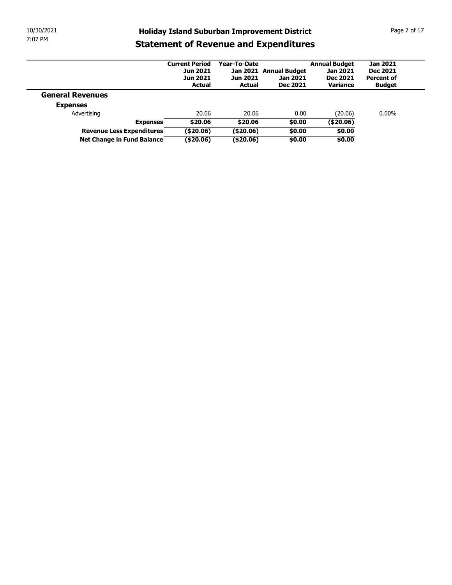| 10/30/2021 |                                                         |                                          |                        | <b>Holiday Island Suburban Improvement District</b> |                                         |                                    |              |
|------------|---------------------------------------------------------|------------------------------------------|------------------------|-----------------------------------------------------|-----------------------------------------|------------------------------------|--------------|
| 7:07 PM    |                                                         |                                          |                        | <b>Statement of Revenue and Expenditures</b>        |                                         |                                    | Page 7 of 17 |
|            |                                                         |                                          |                        |                                                     |                                         |                                    |              |
|            |                                                         | <b>Current Period</b><br><b>Jun 2021</b> | Year-To-Date           | Jan 2021 Annual Budget                              | <b>Annual Budget</b><br><b>Jan 2021</b> | <b>Jan 2021</b><br><b>Dec 2021</b> |              |
|            |                                                         | Jun 2021                                 | <b>Jun 2021</b>        | Jan 2021                                            | <b>Dec 2021</b>                         | <b>Percent of</b>                  |              |
|            |                                                         | <b>Actual</b>                            | <b>Actual</b>          | <b>Dec 2021</b>                                     | Variance                                | <b>Budget</b>                      |              |
|            | <b>General Revenues</b>                                 |                                          |                        |                                                     |                                         |                                    |              |
|            | <b>Expenses</b>                                         |                                          |                        |                                                     |                                         |                                    |              |
|            | Advertising                                             | 20.06                                    | 20.06                  | 0.00                                                | (20.06)                                 | $0.00\%$                           |              |
|            | <b>Expenses</b>                                         | \$20.06                                  | \$20.06                | \$0.00                                              | (420.06)                                |                                    |              |
|            | Revenue Less Expenditures<br>Net Change in Fund Balance | (\$20.06)<br>( \$20.06)                  | (\$20.06)<br>(\$20.06) | \$0.00<br>\$0.00                                    | \$0.00<br>\$0.00                        |                                    |              |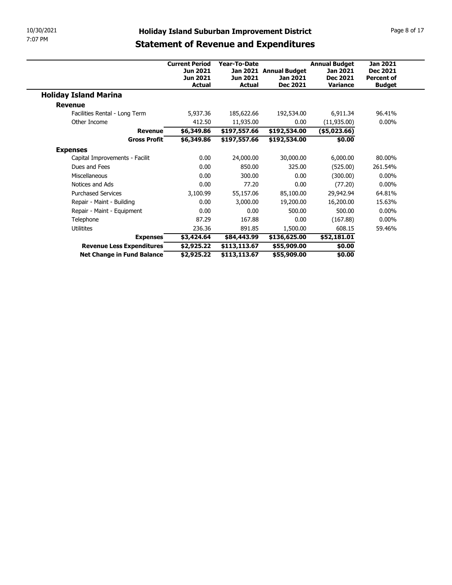| 10/30/2021                                   |                                                               |                             | <b>Holiday Island Suburban Improvement District</b> |                       | Page 8 of 17                         |  |  |  |  |
|----------------------------------------------|---------------------------------------------------------------|-----------------------------|-----------------------------------------------------|-----------------------|--------------------------------------|--|--|--|--|
| 7:07 PM                                      |                                                               |                             |                                                     |                       |                                      |  |  |  |  |
|                                              |                                                               |                             | <b>Statement of Revenue and Expenditures</b>        |                       |                                      |  |  |  |  |
|                                              | <b>Current Period</b><br>Year-To-Date<br><b>Annual Budget</b> |                             |                                                     |                       |                                      |  |  |  |  |
|                                              | Jun 2021<br>Jan 2021 Annual Budget<br>Jan 2021                |                             |                                                     |                       |                                      |  |  |  |  |
|                                              | Jun 2021                                                      | Jun 2021                    | Jan 2021                                            | <b>Dec 2021</b>       | <b>Dec 2021</b><br><b>Percent of</b> |  |  |  |  |
|                                              | <b>Actual</b>                                                 | <b>Actual</b>               | <b>Dec 2021</b>                                     | <b>Variance</b>       | <b>Budget</b>                        |  |  |  |  |
|                                              |                                                               |                             |                                                     |                       |                                      |  |  |  |  |
| <b>Holiday Island Marina</b>                 |                                                               |                             |                                                     |                       |                                      |  |  |  |  |
| <b>Revenue</b>                               |                                                               |                             |                                                     |                       |                                      |  |  |  |  |
| Facilities Rental - Long Term                | 5,937.36                                                      | 185,622.66                  | 192,534.00                                          | 6,911.34              | 96.41%                               |  |  |  |  |
| Other Income                                 | 412.50                                                        | 11,935.00                   | 0.00                                                | (11, 935.00)          | $0.00\%$                             |  |  |  |  |
| <b>Revenue</b>                               | \$6,349.86                                                    | \$197,557.66                | \$192,534.00                                        | ( \$5,023.66)         |                                      |  |  |  |  |
| <b>Gross Profit</b>                          | \$6,349.86                                                    | \$197,557.66                | \$192,534.00                                        | \$0.00                |                                      |  |  |  |  |
| <b>Expenses</b>                              |                                                               |                             |                                                     |                       |                                      |  |  |  |  |
| Capital Improvements - Facilit               | 0.00                                                          | 24,000.00                   | 30,000.00                                           | 6,000.00              | 80.00%                               |  |  |  |  |
| Dues and Fees                                | 0.00                                                          | 850.00                      | 325.00                                              | (525.00)              | 261.54%                              |  |  |  |  |
| Miscellaneous                                | $0.00\,$                                                      | 300.00                      | 0.00                                                | (300.00)              | $0.00\%$                             |  |  |  |  |
| Notices and Ads                              | 0.00                                                          | 77.20                       | 0.00                                                | (77.20)               | $0.00\%$                             |  |  |  |  |
| <b>Purchased Services</b>                    | 3,100.99                                                      | 55,157.06                   | 85,100.00                                           | 29,942.94             | 64.81%                               |  |  |  |  |
| Repair - Maint - Building                    | 0.00                                                          | 3,000.00                    | 19,200.00                                           | 16,200.00             | 15.63%                               |  |  |  |  |
| Repair - Maint - Equipment                   | 0.00                                                          | 0.00                        | 500.00                                              | 500.00                | $0.00\%$                             |  |  |  |  |
| Telephone                                    | 87.29                                                         | 167.88                      | 0.00                                                | (167.88)              | $0.00\%$                             |  |  |  |  |
| Utilitites                                   | 236.36                                                        | 891.85                      | 1,500.00                                            | 608.15                | 59.46%                               |  |  |  |  |
| <b>Expenses</b><br>Revenue Less Expenditures | \$3,424.64<br>\$2,925.22                                      | \$84,443.99<br>\$113,113.67 | \$136,625.00<br>\$55,909.00                         | \$52,181.01<br>\$0.00 |                                      |  |  |  |  |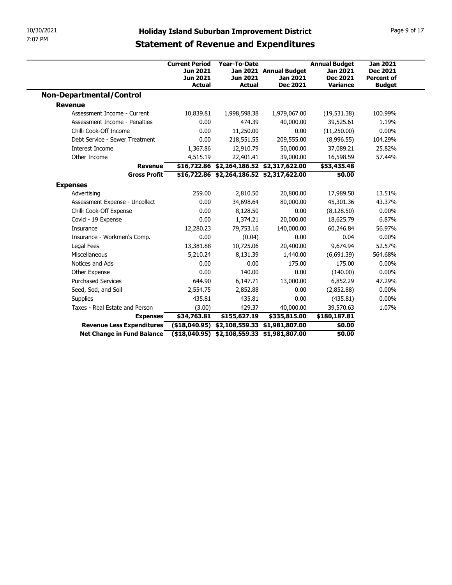| 10/30/2021                                              |                       |                                                                                             |                                                     |                          |                   |
|---------------------------------------------------------|-----------------------|---------------------------------------------------------------------------------------------|-----------------------------------------------------|--------------------------|-------------------|
|                                                         |                       |                                                                                             | <b>Holiday Island Suburban Improvement District</b> |                          | Page 9 of 17      |
| 7:07 PM                                                 |                       |                                                                                             | <b>Statement of Revenue and Expenditures</b>        |                          |                   |
|                                                         |                       |                                                                                             |                                                     |                          |                   |
|                                                         | <b>Current Period</b> | Year-To-Date                                                                                |                                                     | <b>Annual Budget</b>     | <b>Jan 2021</b>   |
|                                                         | Jun 2021              |                                                                                             | Jan 2021 Annual Budget                              | Jan 2021                 | Dec 2021          |
|                                                         | <b>Jun 2021</b>       | Jun 2021                                                                                    | Jan 2021                                            | <b>Dec 2021</b>          | <b>Percent of</b> |
|                                                         | <b>Actual</b>         | <b>Actual</b>                                                                               | <b>Dec 2021</b>                                     | <b>Variance</b>          | <b>Budget</b>     |
| <b>Non-Departmental/Control</b>                         |                       |                                                                                             |                                                     |                          |                   |
| <b>Revenue</b>                                          |                       |                                                                                             |                                                     |                          |                   |
| Assessment Income - Current                             | 10,839.81             | 1,998,598.38                                                                                | 1,979,067.00                                        | (19, 531.38)             | 100.99%           |
| Assessment Income - Penalties<br>Chilli Cook-Off Income | 0.00<br>0.00          | 474.39<br>11,250.00                                                                         | 40,000.00<br>0.00                                   | 39,525.61<br>(11,250.00) | 1.19%<br>$0.00\%$ |
| Debt Service - Sewer Treatment                          | 0.00                  | 218,551.55                                                                                  | 209,555.00                                          | (8,996.55)               | 104.29%           |
| Interest Income                                         | 1,367.86              | 12,910.79                                                                                   | 50,000.00                                           | 37,089.21                | 25.82%            |
| Other Income                                            | 4,515.19              | 22,401.41                                                                                   | 39,000.00                                           | 16,598.59                | 57.44%            |
| <b>Revenue</b>                                          |                       | \$16,722.86 \$2,264,186.52 \$2,317,622.00                                                   |                                                     | \$53,435.48              |                   |
| <b>Gross Profit</b>                                     |                       | \$16,722.86 \$2,264,186.52 \$2,317,622.00                                                   |                                                     | \$0.00                   |                   |
| <b>Expenses</b>                                         |                       |                                                                                             |                                                     |                          |                   |
| Advertising                                             | 259.00                | 2,810.50                                                                                    | 20,800.00                                           | 17,989.50                | 13.51%            |
| Assessment Expense - Uncollect                          | 0.00                  | 34,698.64                                                                                   | 80,000.00                                           | 45,301.36                | 43.37%            |
| Chilli Cook-Off Expense                                 | 0.00                  | 8,128.50                                                                                    | 0.00                                                | (8, 128.50)              | $0.00\%$          |
| Covid - 19 Expense                                      | 0.00                  | 1,374.21                                                                                    | 20,000.00                                           | 18,625.79                | 6.87%             |
| Insurance                                               | 12,280.23             | 79,753.16                                                                                   | 140,000.00                                          | 60,246.84                | 56.97%            |
| Insurance - Workmen's Comp.                             | 0.00                  | (0.04)                                                                                      | 0.00                                                | 0.04                     | $0.00\%$          |
| Legal Fees                                              | 13,381.88             | 10,725.06                                                                                   | 20,400.00                                           | 9,674.94                 | 52.57%            |
| Miscellaneous                                           | 5,210.24              | 8,131.39                                                                                    | 1,440.00                                            | (6,691.39)               | 564.68%           |
|                                                         | 0.00                  | 0.00                                                                                        | 175.00                                              | 175.00                   | $0.00\%$          |
| Notices and Ads                                         | 0.00                  | 140.00                                                                                      | 0.00                                                | (140.00)                 | $0.00\%$          |
| Other Expense                                           | 644.90                | 6,147.71                                                                                    | 13,000.00                                           | 6,852.29                 | 47.29%            |
| <b>Purchased Services</b>                               |                       | 2,852.88                                                                                    | 0.00                                                | (2,852.88)               | $0.00\%$          |
| Seed, Sod, and Soil                                     | 2,554.75              |                                                                                             | 0.00                                                | (435.81)                 | $0.00\%$          |
| Supplies                                                | 435.81                | 435.81                                                                                      |                                                     | 39,570.63                | 1.07%             |
| Taxes - Real Estate and Person                          | (3.00)                | 429.37                                                                                      | 40,000.00                                           |                          |                   |
| <b>Expenses</b>                                         | \$34,763.81           | \$155,627.19                                                                                | \$335,815.00                                        | \$180,187.81             |                   |
| Revenue Less Expenditures<br>Net Change in Fund Balance |                       | $(18,040.95)$ \$2,108,559.33 \$1,981,807.00<br>$($18,040.95)$ \$2,108,559.33 \$1,981,807.00 |                                                     | \$0.00<br>\$0.00         |                   |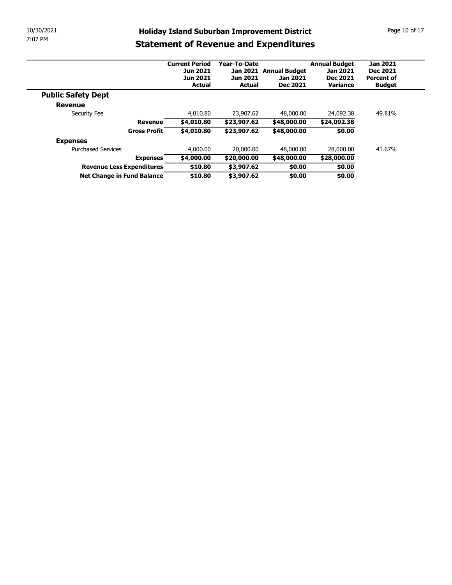| 10/30/2021<br><b>Holiday Island Suburban Improvement District</b><br>7:07 PM<br><b>Statement of Revenue and Expenditures</b><br><b>Annual Budget</b><br><b>Jan 2021</b><br><b>Current Period</b><br>Year-To-Date<br>Jan 2021 Annual Budget<br>Jan 2021<br><b>Dec 2021</b><br>Jun 2021<br>Jun 2021<br>Jan 2021<br><b>Percent of</b><br><b>Jun 2021</b><br><b>Dec 2021</b><br><b>Actual</b><br><b>Actual</b><br><b>Dec 2021</b><br>Variance<br><b>Budget</b><br><b>Public Safety Dept</b><br><b>Revenue</b><br>4,010.80<br>23,907.62<br>48,000.00<br>24,092.38<br>49.81%<br>Security Fee<br>\$4,010.80<br>\$23,907.62<br>\$24,092.38<br><b>Revenue</b><br>\$48,000.00<br>Gross Profit<br>\$4,010.80<br>\$23,907.62<br>\$0.00<br>\$48,000.00<br><b>Expenses</b><br><b>Purchased Services</b><br>4,000.00<br>20,000.00<br>48,000.00<br>41.67%<br>28,000.00 |                                  |            |             |             |             |  |
|--------------------------------------------------------------------------------------------------------------------------------------------------------------------------------------------------------------------------------------------------------------------------------------------------------------------------------------------------------------------------------------------------------------------------------------------------------------------------------------------------------------------------------------------------------------------------------------------------------------------------------------------------------------------------------------------------------------------------------------------------------------------------------------------------------------------------------------------------------|----------------------------------|------------|-------------|-------------|-------------|--|
|                                                                                                                                                                                                                                                                                                                                                                                                                                                                                                                                                                                                                                                                                                                                                                                                                                                        |                                  |            |             |             |             |  |
|                                                                                                                                                                                                                                                                                                                                                                                                                                                                                                                                                                                                                                                                                                                                                                                                                                                        |                                  |            |             |             |             |  |
|                                                                                                                                                                                                                                                                                                                                                                                                                                                                                                                                                                                                                                                                                                                                                                                                                                                        |                                  |            |             |             |             |  |
|                                                                                                                                                                                                                                                                                                                                                                                                                                                                                                                                                                                                                                                                                                                                                                                                                                                        |                                  |            |             |             |             |  |
|                                                                                                                                                                                                                                                                                                                                                                                                                                                                                                                                                                                                                                                                                                                                                                                                                                                        |                                  |            |             |             |             |  |
|                                                                                                                                                                                                                                                                                                                                                                                                                                                                                                                                                                                                                                                                                                                                                                                                                                                        |                                  |            |             |             |             |  |
|                                                                                                                                                                                                                                                                                                                                                                                                                                                                                                                                                                                                                                                                                                                                                                                                                                                        |                                  |            |             |             |             |  |
|                                                                                                                                                                                                                                                                                                                                                                                                                                                                                                                                                                                                                                                                                                                                                                                                                                                        |                                  |            |             |             |             |  |
|                                                                                                                                                                                                                                                                                                                                                                                                                                                                                                                                                                                                                                                                                                                                                                                                                                                        |                                  |            |             |             |             |  |
|                                                                                                                                                                                                                                                                                                                                                                                                                                                                                                                                                                                                                                                                                                                                                                                                                                                        |                                  |            |             |             |             |  |
|                                                                                                                                                                                                                                                                                                                                                                                                                                                                                                                                                                                                                                                                                                                                                                                                                                                        |                                  |            |             |             |             |  |
| Page 10 of 17                                                                                                                                                                                                                                                                                                                                                                                                                                                                                                                                                                                                                                                                                                                                                                                                                                          |                                  |            |             |             |             |  |
|                                                                                                                                                                                                                                                                                                                                                                                                                                                                                                                                                                                                                                                                                                                                                                                                                                                        |                                  |            |             |             |             |  |
|                                                                                                                                                                                                                                                                                                                                                                                                                                                                                                                                                                                                                                                                                                                                                                                                                                                        |                                  |            |             |             |             |  |
|                                                                                                                                                                                                                                                                                                                                                                                                                                                                                                                                                                                                                                                                                                                                                                                                                                                        |                                  |            |             |             |             |  |
|                                                                                                                                                                                                                                                                                                                                                                                                                                                                                                                                                                                                                                                                                                                                                                                                                                                        |                                  |            |             |             |             |  |
|                                                                                                                                                                                                                                                                                                                                                                                                                                                                                                                                                                                                                                                                                                                                                                                                                                                        |                                  |            |             |             |             |  |
|                                                                                                                                                                                                                                                                                                                                                                                                                                                                                                                                                                                                                                                                                                                                                                                                                                                        |                                  |            |             |             |             |  |
|                                                                                                                                                                                                                                                                                                                                                                                                                                                                                                                                                                                                                                                                                                                                                                                                                                                        |                                  |            |             |             |             |  |
|                                                                                                                                                                                                                                                                                                                                                                                                                                                                                                                                                                                                                                                                                                                                                                                                                                                        |                                  |            |             |             |             |  |
|                                                                                                                                                                                                                                                                                                                                                                                                                                                                                                                                                                                                                                                                                                                                                                                                                                                        |                                  |            |             |             |             |  |
|                                                                                                                                                                                                                                                                                                                                                                                                                                                                                                                                                                                                                                                                                                                                                                                                                                                        |                                  |            |             |             |             |  |
|                                                                                                                                                                                                                                                                                                                                                                                                                                                                                                                                                                                                                                                                                                                                                                                                                                                        |                                  |            |             |             |             |  |
|                                                                                                                                                                                                                                                                                                                                                                                                                                                                                                                                                                                                                                                                                                                                                                                                                                                        |                                  |            |             |             |             |  |
|                                                                                                                                                                                                                                                                                                                                                                                                                                                                                                                                                                                                                                                                                                                                                                                                                                                        |                                  |            |             |             |             |  |
|                                                                                                                                                                                                                                                                                                                                                                                                                                                                                                                                                                                                                                                                                                                                                                                                                                                        |                                  |            |             |             |             |  |
|                                                                                                                                                                                                                                                                                                                                                                                                                                                                                                                                                                                                                                                                                                                                                                                                                                                        |                                  |            |             |             |             |  |
|                                                                                                                                                                                                                                                                                                                                                                                                                                                                                                                                                                                                                                                                                                                                                                                                                                                        |                                  |            |             |             |             |  |
|                                                                                                                                                                                                                                                                                                                                                                                                                                                                                                                                                                                                                                                                                                                                                                                                                                                        |                                  |            |             |             |             |  |
|                                                                                                                                                                                                                                                                                                                                                                                                                                                                                                                                                                                                                                                                                                                                                                                                                                                        |                                  |            |             |             |             |  |
| \$0.00                                                                                                                                                                                                                                                                                                                                                                                                                                                                                                                                                                                                                                                                                                                                                                                                                                                 |                                  |            |             |             |             |  |
|                                                                                                                                                                                                                                                                                                                                                                                                                                                                                                                                                                                                                                                                                                                                                                                                                                                        | <b>Expenses</b>                  | \$4,000.00 | \$20,000.00 | \$48,000.00 | \$28,000.00 |  |
| Net Change in Fund Balance<br>\$10.80<br>\$3,907.62<br>\$0.00<br>\$0.00                                                                                                                                                                                                                                                                                                                                                                                                                                                                                                                                                                                                                                                                                                                                                                                | <b>Revenue Less Expenditures</b> | \$10.80    | \$3,907.62  |             | \$0.00      |  |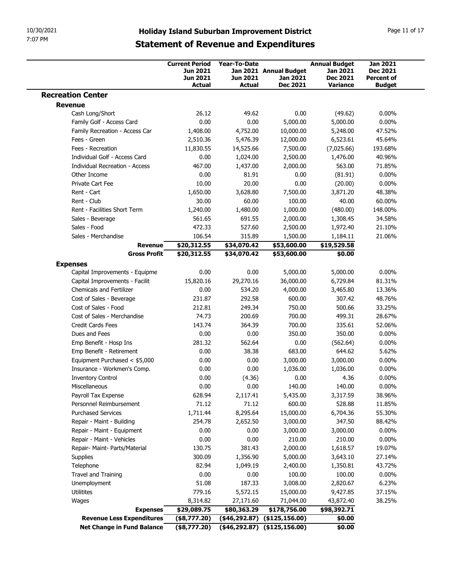| 7:07 PM<br><b>Statement of Revenue and Expenditures</b><br><b>Annual Budget</b><br><b>Jan 2021</b><br><b>Current Period</b><br><b>Year-To-Date</b><br><b>Jun 2021</b><br>Jan 2021 Annual Budget<br>Jan 2021<br><b>Dec 2021</b><br>Jun 2021<br><b>Dec 2021</b><br>Jun 2021<br>Jan 2021<br><b>Percent of</b><br>Dec 2021<br><b>Actual</b><br><b>Actual</b><br>Variance<br><b>Budget</b><br><b>Recreation Center</b><br><b>Revenue</b><br>Cash Long/Short<br>26.12<br>49.62<br>0.00<br>(49.62)<br>$0.00\%$<br>Family Golf - Access Card<br>0.00<br>0.00<br>5,000.00<br>5,000.00<br>$0.00\%$<br>Family Recreation - Access Car<br>4,752.00<br>10,000.00<br>5,248.00<br>47.52%<br>1,408.00<br>Fees - Green<br>2,510.36<br>5,476.39<br>12,000.00<br>6,523.61<br>45.64%<br>11,830.55<br>14,525.66<br>7,500.00<br>(7,025.66)<br>193.68%<br>Fees - Recreation<br>0.00<br>1,024.00<br>2,500.00<br>1,476.00<br>40.96%<br>Individual Golf - Access Card<br>Individual Recreation - Access<br>467.00<br>1,437.00<br>2,000.00<br>563.00<br>71.85%<br>0.00<br>$0.00\%$<br>Other Income<br>81.91<br>0.00<br>(81.91)<br>20.00<br>Private Cart Fee<br>10.00<br>0.00<br>$0.00\%$<br>(20.00)<br>Rent - Cart<br>1,650.00<br>3,628.80<br>7,500.00<br>48.38%<br>3,871.20<br>Rent - Club<br>30.00<br>60.00<br>100.00<br>40.00<br>60.00%<br>Rent - Facilities Short Term<br>1,240.00<br>1,480.00<br>1,000.00<br>(480.00)<br>148.00%<br>Sales - Beverage<br>561.65<br>691.55<br>34.58%<br>2,000.00<br>1,308.45<br>Sales - Food<br>472.33<br>527.60<br>2,500.00<br>1,972.40<br>21.10%<br>Sales - Merchandise<br>106.54<br>315.89<br>21.06%<br>1,500.00<br>1,184.11<br>\$20,312.55<br>\$34,070.42<br>\$19,529.58<br>\$53,600.00<br><b>Revenue</b><br>\$20,312.55<br>\$34,070.42<br>\$0.00<br><b>Gross Profit</b><br>\$53,600.00<br><b>Expenses</b><br>$0.00\%$<br>Capital Improvements - Equipme<br>0.00<br>0.00<br>5,000.00<br>5,000.00<br>29,270.16<br>6,729.84<br>81.31%<br>Capital Improvements - Facilit<br>15,820.16<br>36,000.00<br><b>Chemicals and Fertilizer</b><br>0.00<br>534.20<br>4,000.00<br>13.36%<br>3,465.80<br>231.87<br>292.58<br>600.00<br>307.42<br>48.76%<br>Cost of Sales - Beverage<br>Cost of Sales - Food<br>212.81<br>249.34<br>750.00<br>500.66<br>33.25%<br>Cost of Sales - Merchandise<br>74.73<br>200.69<br>700.00<br>499.31<br>28.67%<br>Credit Cards Fees<br>143.74<br>364.39<br>700.00<br>335.61<br>52.06%<br>Dues and Fees<br>0.00<br>0.00<br>350.00<br>$0.00\%$<br>350.00<br>Emp Benefit - Hosp Ins<br>281.32<br>562.64<br>0.00<br>(562.64)<br>$0.00\%$<br>0.00<br>38.38<br>683.00<br>644.62<br>5.62%<br>Emp Benefit - Retirement |
|--------------------------------------------------------------------------------------------------------------------------------------------------------------------------------------------------------------------------------------------------------------------------------------------------------------------------------------------------------------------------------------------------------------------------------------------------------------------------------------------------------------------------------------------------------------------------------------------------------------------------------------------------------------------------------------------------------------------------------------------------------------------------------------------------------------------------------------------------------------------------------------------------------------------------------------------------------------------------------------------------------------------------------------------------------------------------------------------------------------------------------------------------------------------------------------------------------------------------------------------------------------------------------------------------------------------------------------------------------------------------------------------------------------------------------------------------------------------------------------------------------------------------------------------------------------------------------------------------------------------------------------------------------------------------------------------------------------------------------------------------------------------------------------------------------------------------------------------------------------------------------------------------------------------------------------------------------------------------------------------------------------------------------------------------------------------------------------------------------------------------------------------------------------------------------------------------------------------------------------------------------------------------------------------------------------------------------------------------------------------------------------------------------------------------------------------------------------------------------------------------------------------------------------------------------------------------------------------------------------------------------------------|
|                                                                                                                                                                                                                                                                                                                                                                                                                                                                                                                                                                                                                                                                                                                                                                                                                                                                                                                                                                                                                                                                                                                                                                                                                                                                                                                                                                                                                                                                                                                                                                                                                                                                                                                                                                                                                                                                                                                                                                                                                                                                                                                                                                                                                                                                                                                                                                                                                                                                                                                                                                                                                                            |
|                                                                                                                                                                                                                                                                                                                                                                                                                                                                                                                                                                                                                                                                                                                                                                                                                                                                                                                                                                                                                                                                                                                                                                                                                                                                                                                                                                                                                                                                                                                                                                                                                                                                                                                                                                                                                                                                                                                                                                                                                                                                                                                                                                                                                                                                                                                                                                                                                                                                                                                                                                                                                                            |
|                                                                                                                                                                                                                                                                                                                                                                                                                                                                                                                                                                                                                                                                                                                                                                                                                                                                                                                                                                                                                                                                                                                                                                                                                                                                                                                                                                                                                                                                                                                                                                                                                                                                                                                                                                                                                                                                                                                                                                                                                                                                                                                                                                                                                                                                                                                                                                                                                                                                                                                                                                                                                                            |
|                                                                                                                                                                                                                                                                                                                                                                                                                                                                                                                                                                                                                                                                                                                                                                                                                                                                                                                                                                                                                                                                                                                                                                                                                                                                                                                                                                                                                                                                                                                                                                                                                                                                                                                                                                                                                                                                                                                                                                                                                                                                                                                                                                                                                                                                                                                                                                                                                                                                                                                                                                                                                                            |
|                                                                                                                                                                                                                                                                                                                                                                                                                                                                                                                                                                                                                                                                                                                                                                                                                                                                                                                                                                                                                                                                                                                                                                                                                                                                                                                                                                                                                                                                                                                                                                                                                                                                                                                                                                                                                                                                                                                                                                                                                                                                                                                                                                                                                                                                                                                                                                                                                                                                                                                                                                                                                                            |
|                                                                                                                                                                                                                                                                                                                                                                                                                                                                                                                                                                                                                                                                                                                                                                                                                                                                                                                                                                                                                                                                                                                                                                                                                                                                                                                                                                                                                                                                                                                                                                                                                                                                                                                                                                                                                                                                                                                                                                                                                                                                                                                                                                                                                                                                                                                                                                                                                                                                                                                                                                                                                                            |
|                                                                                                                                                                                                                                                                                                                                                                                                                                                                                                                                                                                                                                                                                                                                                                                                                                                                                                                                                                                                                                                                                                                                                                                                                                                                                                                                                                                                                                                                                                                                                                                                                                                                                                                                                                                                                                                                                                                                                                                                                                                                                                                                                                                                                                                                                                                                                                                                                                                                                                                                                                                                                                            |
|                                                                                                                                                                                                                                                                                                                                                                                                                                                                                                                                                                                                                                                                                                                                                                                                                                                                                                                                                                                                                                                                                                                                                                                                                                                                                                                                                                                                                                                                                                                                                                                                                                                                                                                                                                                                                                                                                                                                                                                                                                                                                                                                                                                                                                                                                                                                                                                                                                                                                                                                                                                                                                            |
|                                                                                                                                                                                                                                                                                                                                                                                                                                                                                                                                                                                                                                                                                                                                                                                                                                                                                                                                                                                                                                                                                                                                                                                                                                                                                                                                                                                                                                                                                                                                                                                                                                                                                                                                                                                                                                                                                                                                                                                                                                                                                                                                                                                                                                                                                                                                                                                                                                                                                                                                                                                                                                            |
|                                                                                                                                                                                                                                                                                                                                                                                                                                                                                                                                                                                                                                                                                                                                                                                                                                                                                                                                                                                                                                                                                                                                                                                                                                                                                                                                                                                                                                                                                                                                                                                                                                                                                                                                                                                                                                                                                                                                                                                                                                                                                                                                                                                                                                                                                                                                                                                                                                                                                                                                                                                                                                            |
|                                                                                                                                                                                                                                                                                                                                                                                                                                                                                                                                                                                                                                                                                                                                                                                                                                                                                                                                                                                                                                                                                                                                                                                                                                                                                                                                                                                                                                                                                                                                                                                                                                                                                                                                                                                                                                                                                                                                                                                                                                                                                                                                                                                                                                                                                                                                                                                                                                                                                                                                                                                                                                            |
|                                                                                                                                                                                                                                                                                                                                                                                                                                                                                                                                                                                                                                                                                                                                                                                                                                                                                                                                                                                                                                                                                                                                                                                                                                                                                                                                                                                                                                                                                                                                                                                                                                                                                                                                                                                                                                                                                                                                                                                                                                                                                                                                                                                                                                                                                                                                                                                                                                                                                                                                                                                                                                            |
|                                                                                                                                                                                                                                                                                                                                                                                                                                                                                                                                                                                                                                                                                                                                                                                                                                                                                                                                                                                                                                                                                                                                                                                                                                                                                                                                                                                                                                                                                                                                                                                                                                                                                                                                                                                                                                                                                                                                                                                                                                                                                                                                                                                                                                                                                                                                                                                                                                                                                                                                                                                                                                            |
|                                                                                                                                                                                                                                                                                                                                                                                                                                                                                                                                                                                                                                                                                                                                                                                                                                                                                                                                                                                                                                                                                                                                                                                                                                                                                                                                                                                                                                                                                                                                                                                                                                                                                                                                                                                                                                                                                                                                                                                                                                                                                                                                                                                                                                                                                                                                                                                                                                                                                                                                                                                                                                            |
|                                                                                                                                                                                                                                                                                                                                                                                                                                                                                                                                                                                                                                                                                                                                                                                                                                                                                                                                                                                                                                                                                                                                                                                                                                                                                                                                                                                                                                                                                                                                                                                                                                                                                                                                                                                                                                                                                                                                                                                                                                                                                                                                                                                                                                                                                                                                                                                                                                                                                                                                                                                                                                            |
|                                                                                                                                                                                                                                                                                                                                                                                                                                                                                                                                                                                                                                                                                                                                                                                                                                                                                                                                                                                                                                                                                                                                                                                                                                                                                                                                                                                                                                                                                                                                                                                                                                                                                                                                                                                                                                                                                                                                                                                                                                                                                                                                                                                                                                                                                                                                                                                                                                                                                                                                                                                                                                            |
|                                                                                                                                                                                                                                                                                                                                                                                                                                                                                                                                                                                                                                                                                                                                                                                                                                                                                                                                                                                                                                                                                                                                                                                                                                                                                                                                                                                                                                                                                                                                                                                                                                                                                                                                                                                                                                                                                                                                                                                                                                                                                                                                                                                                                                                                                                                                                                                                                                                                                                                                                                                                                                            |
|                                                                                                                                                                                                                                                                                                                                                                                                                                                                                                                                                                                                                                                                                                                                                                                                                                                                                                                                                                                                                                                                                                                                                                                                                                                                                                                                                                                                                                                                                                                                                                                                                                                                                                                                                                                                                                                                                                                                                                                                                                                                                                                                                                                                                                                                                                                                                                                                                                                                                                                                                                                                                                            |
|                                                                                                                                                                                                                                                                                                                                                                                                                                                                                                                                                                                                                                                                                                                                                                                                                                                                                                                                                                                                                                                                                                                                                                                                                                                                                                                                                                                                                                                                                                                                                                                                                                                                                                                                                                                                                                                                                                                                                                                                                                                                                                                                                                                                                                                                                                                                                                                                                                                                                                                                                                                                                                            |
|                                                                                                                                                                                                                                                                                                                                                                                                                                                                                                                                                                                                                                                                                                                                                                                                                                                                                                                                                                                                                                                                                                                                                                                                                                                                                                                                                                                                                                                                                                                                                                                                                                                                                                                                                                                                                                                                                                                                                                                                                                                                                                                                                                                                                                                                                                                                                                                                                                                                                                                                                                                                                                            |
|                                                                                                                                                                                                                                                                                                                                                                                                                                                                                                                                                                                                                                                                                                                                                                                                                                                                                                                                                                                                                                                                                                                                                                                                                                                                                                                                                                                                                                                                                                                                                                                                                                                                                                                                                                                                                                                                                                                                                                                                                                                                                                                                                                                                                                                                                                                                                                                                                                                                                                                                                                                                                                            |
|                                                                                                                                                                                                                                                                                                                                                                                                                                                                                                                                                                                                                                                                                                                                                                                                                                                                                                                                                                                                                                                                                                                                                                                                                                                                                                                                                                                                                                                                                                                                                                                                                                                                                                                                                                                                                                                                                                                                                                                                                                                                                                                                                                                                                                                                                                                                                                                                                                                                                                                                                                                                                                            |
|                                                                                                                                                                                                                                                                                                                                                                                                                                                                                                                                                                                                                                                                                                                                                                                                                                                                                                                                                                                                                                                                                                                                                                                                                                                                                                                                                                                                                                                                                                                                                                                                                                                                                                                                                                                                                                                                                                                                                                                                                                                                                                                                                                                                                                                                                                                                                                                                                                                                                                                                                                                                                                            |
|                                                                                                                                                                                                                                                                                                                                                                                                                                                                                                                                                                                                                                                                                                                                                                                                                                                                                                                                                                                                                                                                                                                                                                                                                                                                                                                                                                                                                                                                                                                                                                                                                                                                                                                                                                                                                                                                                                                                                                                                                                                                                                                                                                                                                                                                                                                                                                                                                                                                                                                                                                                                                                            |
|                                                                                                                                                                                                                                                                                                                                                                                                                                                                                                                                                                                                                                                                                                                                                                                                                                                                                                                                                                                                                                                                                                                                                                                                                                                                                                                                                                                                                                                                                                                                                                                                                                                                                                                                                                                                                                                                                                                                                                                                                                                                                                                                                                                                                                                                                                                                                                                                                                                                                                                                                                                                                                            |
|                                                                                                                                                                                                                                                                                                                                                                                                                                                                                                                                                                                                                                                                                                                                                                                                                                                                                                                                                                                                                                                                                                                                                                                                                                                                                                                                                                                                                                                                                                                                                                                                                                                                                                                                                                                                                                                                                                                                                                                                                                                                                                                                                                                                                                                                                                                                                                                                                                                                                                                                                                                                                                            |
|                                                                                                                                                                                                                                                                                                                                                                                                                                                                                                                                                                                                                                                                                                                                                                                                                                                                                                                                                                                                                                                                                                                                                                                                                                                                                                                                                                                                                                                                                                                                                                                                                                                                                                                                                                                                                                                                                                                                                                                                                                                                                                                                                                                                                                                                                                                                                                                                                                                                                                                                                                                                                                            |
| Equipment Purchased < \$5,000<br>0.00<br>0.00<br>3,000.00<br>3,000.00<br>$0.00\%$                                                                                                                                                                                                                                                                                                                                                                                                                                                                                                                                                                                                                                                                                                                                                                                                                                                                                                                                                                                                                                                                                                                                                                                                                                                                                                                                                                                                                                                                                                                                                                                                                                                                                                                                                                                                                                                                                                                                                                                                                                                                                                                                                                                                                                                                                                                                                                                                                                                                                                                                                          |
| Insurance - Workmen's Comp.<br>0.00<br>$0.00\%$<br>0.00<br>1,036.00<br>1,036.00<br>$0.00\%$<br><b>Inventory Control</b><br>0.00<br>(4.36)<br>0.00<br>4.36                                                                                                                                                                                                                                                                                                                                                                                                                                                                                                                                                                                                                                                                                                                                                                                                                                                                                                                                                                                                                                                                                                                                                                                                                                                                                                                                                                                                                                                                                                                                                                                                                                                                                                                                                                                                                                                                                                                                                                                                                                                                                                                                                                                                                                                                                                                                                                                                                                                                                  |
| Miscellaneous<br>0.00<br>0.00<br>140.00<br>$0.00\%$<br>140.00                                                                                                                                                                                                                                                                                                                                                                                                                                                                                                                                                                                                                                                                                                                                                                                                                                                                                                                                                                                                                                                                                                                                                                                                                                                                                                                                                                                                                                                                                                                                                                                                                                                                                                                                                                                                                                                                                                                                                                                                                                                                                                                                                                                                                                                                                                                                                                                                                                                                                                                                                                              |
| Payroll Tax Expense<br>628.94<br>2,117.41<br>5,435.00<br>3,317.59<br>38.96%                                                                                                                                                                                                                                                                                                                                                                                                                                                                                                                                                                                                                                                                                                                                                                                                                                                                                                                                                                                                                                                                                                                                                                                                                                                                                                                                                                                                                                                                                                                                                                                                                                                                                                                                                                                                                                                                                                                                                                                                                                                                                                                                                                                                                                                                                                                                                                                                                                                                                                                                                                |
| Personnel Reimbursement<br>71.12<br>71.12<br>600.00<br>528.88<br>11.85%                                                                                                                                                                                                                                                                                                                                                                                                                                                                                                                                                                                                                                                                                                                                                                                                                                                                                                                                                                                                                                                                                                                                                                                                                                                                                                                                                                                                                                                                                                                                                                                                                                                                                                                                                                                                                                                                                                                                                                                                                                                                                                                                                                                                                                                                                                                                                                                                                                                                                                                                                                    |
| <b>Purchased Services</b><br>55.30%<br>1,711.44<br>8,295.64<br>15,000.00<br>6,704.36                                                                                                                                                                                                                                                                                                                                                                                                                                                                                                                                                                                                                                                                                                                                                                                                                                                                                                                                                                                                                                                                                                                                                                                                                                                                                                                                                                                                                                                                                                                                                                                                                                                                                                                                                                                                                                                                                                                                                                                                                                                                                                                                                                                                                                                                                                                                                                                                                                                                                                                                                       |
| 254.78<br>2,652.50<br>3,000.00<br>347.50<br>88.42%<br>Repair - Maint - Building<br>0.00<br>0.00<br>3,000.00<br>3,000.00<br>$0.00\%$<br>Repair - Maint - Equipment                                                                                                                                                                                                                                                                                                                                                                                                                                                                                                                                                                                                                                                                                                                                                                                                                                                                                                                                                                                                                                                                                                                                                                                                                                                                                                                                                                                                                                                                                                                                                                                                                                                                                                                                                                                                                                                                                                                                                                                                                                                                                                                                                                                                                                                                                                                                                                                                                                                                          |
| Repair - Maint - Vehicles<br>0.00<br>0.00<br>210.00<br>210.00<br>$0.00\%$                                                                                                                                                                                                                                                                                                                                                                                                                                                                                                                                                                                                                                                                                                                                                                                                                                                                                                                                                                                                                                                                                                                                                                                                                                                                                                                                                                                                                                                                                                                                                                                                                                                                                                                                                                                                                                                                                                                                                                                                                                                                                                                                                                                                                                                                                                                                                                                                                                                                                                                                                                  |
| 130.75<br>381.43<br>2,000.00<br>1,618.57<br>19.07%<br>Repair- Maint- Parts/Material                                                                                                                                                                                                                                                                                                                                                                                                                                                                                                                                                                                                                                                                                                                                                                                                                                                                                                                                                                                                                                                                                                                                                                                                                                                                                                                                                                                                                                                                                                                                                                                                                                                                                                                                                                                                                                                                                                                                                                                                                                                                                                                                                                                                                                                                                                                                                                                                                                                                                                                                                        |
| 300.09<br>Supplies<br>1,356.90<br>5,000.00<br>3,643.10<br>27.14%                                                                                                                                                                                                                                                                                                                                                                                                                                                                                                                                                                                                                                                                                                                                                                                                                                                                                                                                                                                                                                                                                                                                                                                                                                                                                                                                                                                                                                                                                                                                                                                                                                                                                                                                                                                                                                                                                                                                                                                                                                                                                                                                                                                                                                                                                                                                                                                                                                                                                                                                                                           |
| 82.94<br>43.72%<br>Telephone<br>1,049.19<br>2,400.00<br>1,350.81                                                                                                                                                                                                                                                                                                                                                                                                                                                                                                                                                                                                                                                                                                                                                                                                                                                                                                                                                                                                                                                                                                                                                                                                                                                                                                                                                                                                                                                                                                                                                                                                                                                                                                                                                                                                                                                                                                                                                                                                                                                                                                                                                                                                                                                                                                                                                                                                                                                                                                                                                                           |
| Travel and Training<br>0.00<br>0.00<br>100.00<br>100.00<br>$0.00\%$                                                                                                                                                                                                                                                                                                                                                                                                                                                                                                                                                                                                                                                                                                                                                                                                                                                                                                                                                                                                                                                                                                                                                                                                                                                                                                                                                                                                                                                                                                                                                                                                                                                                                                                                                                                                                                                                                                                                                                                                                                                                                                                                                                                                                                                                                                                                                                                                                                                                                                                                                                        |
| 51.08<br>Unemployment<br>187.33<br>3,008.00<br>2,820.67<br>6.23%<br>Utilitites<br>779.16<br>5,572.15<br>9,427.85<br>15,000.00<br>37.15%                                                                                                                                                                                                                                                                                                                                                                                                                                                                                                                                                                                                                                                                                                                                                                                                                                                                                                                                                                                                                                                                                                                                                                                                                                                                                                                                                                                                                                                                                                                                                                                                                                                                                                                                                                                                                                                                                                                                                                                                                                                                                                                                                                                                                                                                                                                                                                                                                                                                                                    |
| 8,314.82<br>27,171.60<br>71,044.00<br>43,872.40<br>38.25%<br>Wages                                                                                                                                                                                                                                                                                                                                                                                                                                                                                                                                                                                                                                                                                                                                                                                                                                                                                                                                                                                                                                                                                                                                                                                                                                                                                                                                                                                                                                                                                                                                                                                                                                                                                                                                                                                                                                                                                                                                                                                                                                                                                                                                                                                                                                                                                                                                                                                                                                                                                                                                                                         |
| \$29,089.75<br>\$80,363.29<br>\$178,756.00<br>\$98,392.71<br><b>Expenses</b>                                                                                                                                                                                                                                                                                                                                                                                                                                                                                                                                                                                                                                                                                                                                                                                                                                                                                                                                                                                                                                                                                                                                                                                                                                                                                                                                                                                                                                                                                                                                                                                                                                                                                                                                                                                                                                                                                                                                                                                                                                                                                                                                                                                                                                                                                                                                                                                                                                                                                                                                                               |
| $($ \$8,777.20)<br>$(46,292.87)$ $(4125,156.00)$<br>\$0.00<br><b>Revenue Less Expenditures</b>                                                                                                                                                                                                                                                                                                                                                                                                                                                                                                                                                                                                                                                                                                                                                                                                                                                                                                                                                                                                                                                                                                                                                                                                                                                                                                                                                                                                                                                                                                                                                                                                                                                                                                                                                                                                                                                                                                                                                                                                                                                                                                                                                                                                                                                                                                                                                                                                                                                                                                                                             |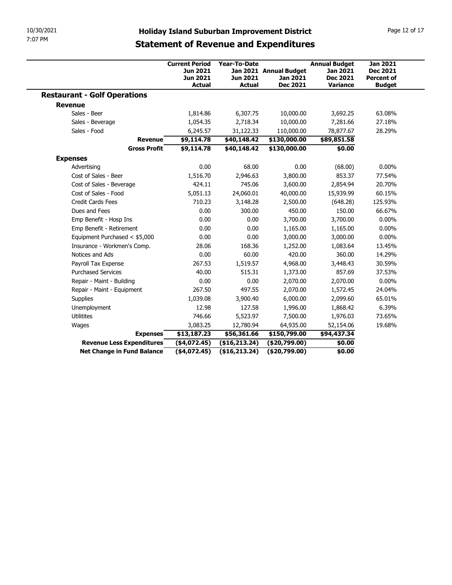| 10/30/2021<br>7:07 PM                               |                                                                              |                                           |                                                                                                     |                                                                        |                                                                          |
|-----------------------------------------------------|------------------------------------------------------------------------------|-------------------------------------------|-----------------------------------------------------------------------------------------------------|------------------------------------------------------------------------|--------------------------------------------------------------------------|
|                                                     |                                                                              |                                           | <b>Holiday Island Suburban Improvement District</b><br><b>Statement of Revenue and Expenditures</b> |                                                                        | Page 12 of 17                                                            |
|                                                     | <b>Current Period</b><br><b>Jun 2021</b><br><b>Jun 2021</b><br><b>Actual</b> | Year-To-Date<br>Jun 2021<br><b>Actual</b> | Jan 2021 Annual Budget<br>Jan 2021<br>Dec 2021                                                      | <b>Annual Budget</b><br><b>Jan 2021</b><br><b>Dec 2021</b><br>Variance | <b>Jan 2021</b><br><b>Dec 2021</b><br><b>Percent of</b><br><b>Budget</b> |
| <b>Restaurant - Golf Operations</b>                 |                                                                              |                                           |                                                                                                     |                                                                        |                                                                          |
| <b>Revenue</b>                                      |                                                                              |                                           |                                                                                                     |                                                                        |                                                                          |
| Sales - Beer                                        | 1,814.86                                                                     | 6,307.75                                  | 10,000.00                                                                                           | 3,692.25                                                               | 63.08%                                                                   |
|                                                     |                                                                              | 2,718.34                                  |                                                                                                     | 7,281.66                                                               | 27.18%                                                                   |
| Sales - Beverage<br>Sales - Food                    | 1,054.35                                                                     |                                           | 10,000.00                                                                                           | 78,877.67                                                              | 28.29%                                                                   |
| <b>Revenue</b>                                      | 6,245.57<br>\$9,114.78                                                       | 31,122.33<br>\$40,148.42                  | 110,000.00<br>\$130,000.00                                                                          | \$89,851.58                                                            |                                                                          |
| <b>Gross Profit</b>                                 | \$9,114.78                                                                   | \$40,148.42                               | \$130,000.00                                                                                        | \$0.00                                                                 |                                                                          |
|                                                     |                                                                              |                                           |                                                                                                     |                                                                        |                                                                          |
| <b>Expenses</b>                                     |                                                                              |                                           |                                                                                                     |                                                                        |                                                                          |
| Advertising                                         | 0.00                                                                         | 68.00                                     | $0.00\,$                                                                                            | (68.00)                                                                | $0.00\%$                                                                 |
| Cost of Sales - Beer                                | 1,516.70                                                                     | 2,946.63                                  | 3,800.00                                                                                            | 853.37                                                                 | 77.54%                                                                   |
| Cost of Sales - Beverage                            | 424.11                                                                       | 745.06                                    | 3,600.00                                                                                            | 2,854.94                                                               | 20.70%                                                                   |
| Cost of Sales - Food<br>Credit Cards Fees           | 5,051.13<br>710.23                                                           | 24,060.01                                 | 40,000.00                                                                                           | 15,939.99                                                              | 60.15%                                                                   |
| Dues and Fees                                       |                                                                              | 3,148.28<br>300.00                        | 2,500.00                                                                                            | (648.28)                                                               | 125.93%                                                                  |
| Emp Benefit - Hosp Ins                              | 0.00<br>0.00                                                                 | 0.00                                      | 450.00<br>3,700.00                                                                                  | 150.00<br>3,700.00                                                     | 66.67%<br>$0.00\%$                                                       |
| Emp Benefit - Retirement                            | 0.00                                                                         | 0.00                                      | 1,165.00                                                                                            | 1,165.00                                                               | $0.00\%$                                                                 |
| Equipment Purchased < \$5,000                       | 0.00                                                                         | 0.00                                      | 3,000.00                                                                                            | 3,000.00                                                               | $0.00\%$                                                                 |
| Insurance - Workmen's Comp.                         | 28.06                                                                        | 168.36                                    | 1,252.00                                                                                            | 1,083.64                                                               | 13.45%                                                                   |
| Notices and Ads                                     | 0.00                                                                         | 60.00                                     | 420.00                                                                                              | 360.00                                                                 | 14.29%                                                                   |
| Payroll Tax Expense                                 | 267.53                                                                       | 1,519.57                                  | 4,968.00                                                                                            | 3,448.43                                                               | 30.59%                                                                   |
| <b>Purchased Services</b>                           | 40.00                                                                        | 515.31                                    | 1,373.00                                                                                            | 857.69                                                                 | 37.53%                                                                   |
| Repair - Maint - Building                           | 0.00                                                                         | 0.00                                      | 2,070.00                                                                                            | 2,070.00                                                               | $0.00\%$                                                                 |
| Repair - Maint - Equipment                          | 267.50                                                                       | 497.55                                    | 2,070.00                                                                                            | 1,572.45                                                               | 24.04%                                                                   |
|                                                     | 1,039.08                                                                     | 3,900.40                                  | 6,000.00                                                                                            | 2,099.60                                                               | 65.01%                                                                   |
|                                                     | 12.98                                                                        | 127.58                                    | 1,996.00                                                                                            | 1,868.42                                                               | 6.39%                                                                    |
| Supplies                                            |                                                                              | 5,523.97                                  | 7,500.00                                                                                            | 1,976.03                                                               | 73.65%                                                                   |
| Unemployment                                        |                                                                              | 12,780.94                                 | 64,935.00                                                                                           | 52,154.06                                                              | 19.68%                                                                   |
| Utilitites                                          | 746.66                                                                       |                                           | \$150,799.00                                                                                        | \$94,437.34                                                            |                                                                          |
| Wages                                               | 3,083.25                                                                     |                                           |                                                                                                     |                                                                        |                                                                          |
| <b>Expenses</b><br><b>Revenue Less Expenditures</b> | \$13,187.23<br>$(*4,072.45)$                                                 | \$56,361.66<br>(\$16, 213.24)             | (\$20,799.00)                                                                                       | \$0.00                                                                 |                                                                          |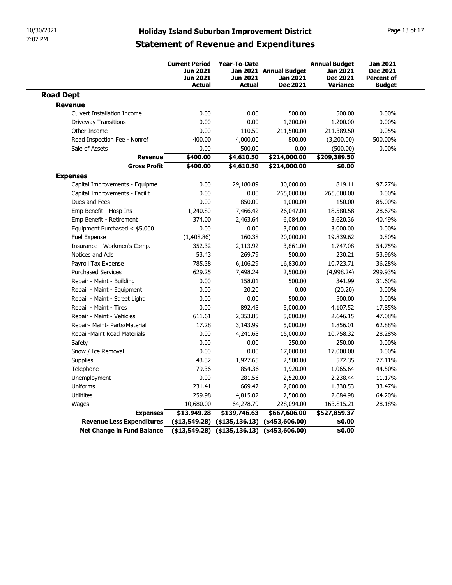| 10/30/2021                                                 |                                                      |                       |                                    |                             |                                      |
|------------------------------------------------------------|------------------------------------------------------|-----------------------|------------------------------------|-----------------------------|--------------------------------------|
|                                                            |                                                      |                       |                                    |                             |                                      |
|                                                            |                                                      |                       |                                    |                             |                                      |
|                                                            | <b>Holiday Island Suburban Improvement District</b>  |                       |                                    |                             | Page 13 of 17                        |
| 7:07 PM                                                    | <b>Statement of Revenue and Expenditures</b>         |                       |                                    |                             |                                      |
|                                                            | <b>Current Period</b>                                | Year-To-Date          |                                    | <b>Annual Budget</b>        | <b>Jan 2021</b>                      |
|                                                            | Jun 2021<br>Jun 2021                                 | Jun 2021              | Jan 2021 Annual Budget<br>Jan 2021 | Jan 2021<br><b>Dec 2021</b> | <b>Dec 2021</b><br><b>Percent of</b> |
| <b>Road Dept</b>                                           | <b>Actual</b>                                        | Actual                | Dec 2021                           | Variance                    | <b>Budget</b>                        |
| Revenue                                                    |                                                      |                       |                                    |                             |                                      |
| <b>Culvert Installation Income</b>                         | 0.00                                                 | 0.00                  | 500.00                             | 500.00                      | $0.00\%$                             |
| <b>Driveway Transitions</b>                                | 0.00                                                 | 0.00                  | 1,200.00                           | 1,200.00                    | $0.00\%$                             |
| Other Income                                               | 0.00                                                 | 110.50                | 211,500.00                         | 211,389.50                  | 0.05%                                |
| Road Inspection Fee - Nonref<br>Sale of Assets             | 400.00<br>0.00                                       | 4,000.00<br>500.00    | 800.00<br>0.00                     | (3,200.00)<br>(500.00)      | 500.00%<br>$0.00\%$                  |
| <b>Revenue</b>                                             | \$400.00                                             | \$4,610.50            | \$214,000.00                       | \$209,389.50                |                                      |
| <b>Gross Profit</b>                                        | \$400.00                                             | \$4,610.50            | \$214,000.00                       | \$0.00                      |                                      |
| <b>Expenses</b>                                            |                                                      |                       |                                    |                             |                                      |
| Capital Improvements - Equipme                             | 0.00                                                 | 29,180.89             | 30,000.00                          | 819.11                      | 97.27%                               |
| Capital Improvements - Facilit<br>Dues and Fees            | 0.00<br>0.00                                         | 0.00<br>850.00        | 265,000.00<br>1,000.00             | 265,000.00<br>150.00        | $0.00\%$<br>85.00%                   |
| Emp Benefit - Hosp Ins                                     | 1,240.80                                             | 7,466.42              | 26,047.00                          | 18,580.58                   | 28.67%                               |
| Emp Benefit - Retirement                                   | 374.00                                               | 2,463.64              | 6,084.00                           | 3,620.36                    | 40.49%                               |
| Equipment Purchased < \$5,000                              | 0.00                                                 | 0.00                  | 3,000.00                           | 3,000.00                    | $0.00\%$                             |
| Fuel Expense                                               | (1,408.86)                                           | 160.38                | 20,000.00                          | 19,839.62                   | 0.80%                                |
| Insurance - Workmen's Comp.                                | 352.32                                               | 2,113.92              | 3,861.00                           | 1,747.08                    | 54.75%                               |
| Notices and Ads                                            | 53.43                                                | 269.79                | 500.00                             | 230.21                      | 53.96%                               |
| Payroll Tax Expense<br><b>Purchased Services</b>           | 785.38<br>629.25                                     | 6,106.29<br>7,498.24  | 16,830.00<br>2,500.00              | 10,723.71<br>(4,998.24)     | 36.28%<br>299.93%                    |
| Repair - Maint - Building                                  | 0.00                                                 | 158.01                | 500.00                             | 341.99                      | 31.60%                               |
| Repair - Maint - Equipment                                 | 0.00                                                 | 20.20                 | 0.00                               | (20.20)                     | $0.00\%$                             |
| Repair - Maint - Street Light                              | 0.00                                                 | 0.00                  | 500.00                             | 500.00                      | $0.00\%$                             |
| Repair - Maint - Tires                                     | 0.00                                                 | 892.48                | 5,000.00                           | 4,107.52                    | 17.85%                               |
| Repair - Maint - Vehicles<br>Repair- Maint- Parts/Material | 611.61<br>17.28                                      | 2,353.85<br>3,143.99  | 5,000.00<br>5,000.00               | 2,646.15<br>1,856.01        | 47.08%<br>62.88%                     |
| Repair-Maint Road Materials                                | 0.00                                                 | 4,241.68              | 15,000.00                          | 10,758.32                   | 28.28%                               |
| Safety                                                     | 0.00                                                 | 0.00                  | 250.00                             | 250.00                      | $0.00\%$                             |
| Snow / Ice Removal                                         | 0.00                                                 | 0.00                  | 17,000.00                          | 17,000.00                   | $0.00\%$                             |
| Supplies                                                   | 43.32                                                | 1,927.65              | 2,500.00                           | 572.35                      | 77.11%                               |
| Telephone                                                  | 79.36                                                | 854.36                | 1,920.00                           | 1,065.64                    | 44.50%                               |
| Unemployment                                               | 0.00                                                 | 281.56                | 2,520.00                           | 2,238.44                    | 11.17%                               |
| Uniforms<br>Utilitites                                     | 231.41<br>259.98                                     | 669.47                | 2,000.00                           | 1,330.53<br>2,684.98        | 33.47%<br>64.20%                     |
| Wages                                                      | 10,680.00                                            | 4,815.02<br>64,278.79 | 7,500.00<br>228,094.00             | 163,815.21                  | 28.18%                               |
| <b>Expenses</b>                                            | \$13,949.28                                          | \$139,746.63          | \$667,606.00                       | \$527,859.37                |                                      |
|                                                            | $($ \$13,549.28) $($ \$135,136.13) $($ \$453,606.00) |                       |                                    | \$0.00                      |                                      |
| <b>Revenue Less Expenditures</b>                           |                                                      |                       |                                    |                             |                                      |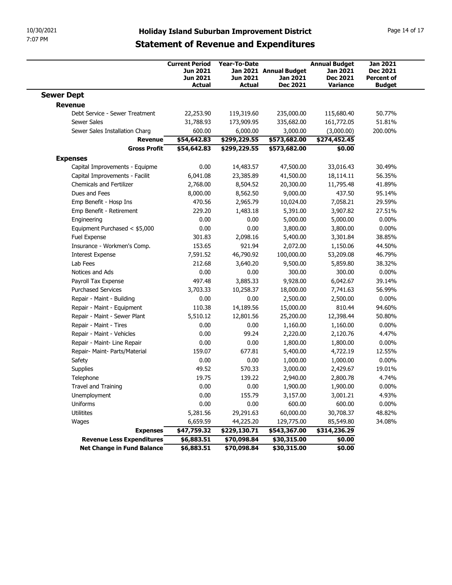| 10/30/2021<br>7:07 PM                                |                                                                |                                                  | <b>Holiday Island Suburban Improvement District</b>   |                                                                        | Page 14 of 17                                                     |  |  |
|------------------------------------------------------|----------------------------------------------------------------|--------------------------------------------------|-------------------------------------------------------|------------------------------------------------------------------------|-------------------------------------------------------------------|--|--|
|                                                      | <b>Statement of Revenue and Expenditures</b>                   |                                                  |                                                       |                                                                        |                                                                   |  |  |
|                                                      | <b>Current Period</b><br>Jun 2021<br>Jun 2021<br><b>Actual</b> | <b>Year-To-Date</b><br><b>Jun 2021</b><br>Actual | Jan 2021 Annual Budget<br>Jan 2021<br><b>Dec 2021</b> | <b>Annual Budget</b><br>Jan 2021<br><b>Dec 2021</b><br><b>Variance</b> | <b>Jan 2021</b><br>Dec 2021<br><b>Percent of</b><br><b>Budget</b> |  |  |
| <b>Sewer Dept</b>                                    |                                                                |                                                  |                                                       |                                                                        |                                                                   |  |  |
| <b>Revenue</b>                                       |                                                                |                                                  |                                                       |                                                                        |                                                                   |  |  |
| Debt Service - Sewer Treatment<br><b>Sewer Sales</b> | 22,253.90<br>31,788.93                                         | 119,319.60<br>173,909.95                         | 235,000.00<br>335,682.00                              | 115,680.40<br>161,772.05                                               | 50.77%<br>51.81%                                                  |  |  |
| Sewer Sales Installation Charg                       | 600.00                                                         | 6,000.00                                         | 3,000.00                                              | (3,000.00)                                                             | 200.00%                                                           |  |  |
| Revenue                                              | \$54,642.83                                                    | \$299,229.55                                     | \$573,682.00                                          | \$274,452.45                                                           |                                                                   |  |  |
| <b>Gross Profit</b>                                  | \$54,642.83                                                    | \$299,229.55                                     | \$573,682.00                                          | \$0.00                                                                 |                                                                   |  |  |
| <b>Expenses</b>                                      |                                                                |                                                  |                                                       |                                                                        |                                                                   |  |  |
| Capital Improvements - Equipme                       | 0.00                                                           | 14,483.57                                        | 47,500.00                                             | 33,016.43                                                              | 30.49%                                                            |  |  |
| Capital Improvements - Facilit                       | 6,041.08                                                       | 23,385.89                                        | 41,500.00                                             | 18,114.11                                                              | 56.35%                                                            |  |  |
| Chemicals and Fertilizer                             | 2,768.00                                                       | 8,504.52                                         | 20,300.00                                             | 11,795.48                                                              | 41.89%                                                            |  |  |
| Dues and Fees<br>Emp Benefit - Hosp Ins              | 8,000.00<br>470.56                                             | 8,562.50                                         | 9,000.00                                              | 437.50                                                                 | 95.14%<br>29.59%                                                  |  |  |
| Emp Benefit - Retirement                             | 229.20                                                         | 2,965.79<br>1,483.18                             | 10,024.00<br>5,391.00                                 | 7,058.21<br>3,907.82                                                   | 27.51%                                                            |  |  |
| Engineering                                          | 0.00                                                           | 0.00                                             | 5,000.00                                              | 5,000.00                                                               | $0.00\%$                                                          |  |  |
| Equipment Purchased < \$5,000                        | 0.00                                                           | 0.00                                             | 3,800.00                                              | 3,800.00                                                               | $0.00\%$                                                          |  |  |
| Fuel Expense                                         | 301.83                                                         | 2,098.16                                         | 5,400.00                                              | 3,301.84                                                               | 38.85%                                                            |  |  |
| Insurance - Workmen's Comp.                          | 153.65                                                         | 921.94                                           | 2,072.00                                              | 1,150.06                                                               | 44.50%                                                            |  |  |
| <b>Interest Expense</b>                              | 7,591.52                                                       | 46,790.92                                        | 100,000.00                                            | 53,209.08                                                              | 46.79%                                                            |  |  |
| Lab Fees                                             | 212.68                                                         | 3,640.20                                         | 9,500.00                                              | 5,859.80                                                               | 38.32%                                                            |  |  |
| Notices and Ads<br>Payroll Tax Expense               | 0.00<br>497.48                                                 | 0.00<br>3,885.33                                 | 300.00<br>9,928.00                                    | 300.00<br>6,042.67                                                     | $0.00\%$<br>39.14%                                                |  |  |
| <b>Purchased Services</b>                            | 3,703.33                                                       | 10,258.37                                        | 18,000.00                                             | 7,741.63                                                               | 56.99%                                                            |  |  |
| Repair - Maint - Building                            | 0.00                                                           | 0.00                                             | 2,500.00                                              | 2,500.00                                                               | $0.00\%$                                                          |  |  |
| Repair - Maint - Equipment                           | 110.38                                                         | 14,189.56                                        | 15,000.00                                             | 810.44                                                                 | 94.60%                                                            |  |  |
| Repair - Maint - Sewer Plant                         | 5,510.12                                                       | 12,801.56                                        | 25,200.00                                             | 12,398.44                                                              | 50.80%                                                            |  |  |
| Repair - Maint - Tires                               | 0.00                                                           | 0.00                                             | 1,160.00                                              | 1,160.00                                                               | $0.00\%$                                                          |  |  |
| Repair - Maint - Vehicles                            | 0.00                                                           | 99.24                                            | 2,220.00                                              | 2,120.76                                                               | 4.47%                                                             |  |  |
| Repair - Maint- Line Repair                          | 0.00                                                           | 0.00                                             | 1,800.00                                              | 1,800.00                                                               | $0.00\%$                                                          |  |  |
| Repair- Maint- Parts/Material                        | 159.07                                                         | 677.81                                           | 5,400.00                                              | 4,722.19                                                               | 12.55%                                                            |  |  |
| Safety                                               | 0.00                                                           | 0.00                                             | 1,000.00                                              | 1,000.00                                                               | $0.00\%$                                                          |  |  |
| Supplies<br>Telephone                                | 49.52<br>19.75                                                 | 570.33<br>139.22                                 | 3,000.00                                              | 2,429.67                                                               | 19.01%<br>4.74%                                                   |  |  |
| Travel and Training                                  | 0.00                                                           | 0.00                                             | 2,940.00<br>1,900.00                                  | 2,800.78<br>1,900.00                                                   | $0.00\%$                                                          |  |  |
| Unemployment                                         | 0.00                                                           | 155.79                                           | 3,157.00                                              | 3,001.21                                                               | 4.93%                                                             |  |  |
| Uniforms                                             | 0.00                                                           | 0.00                                             | 600.00                                                | 600.00                                                                 | $0.00\%$                                                          |  |  |
| Utilitites                                           | 5,281.56                                                       | 29,291.63                                        | 60,000.00                                             | 30,708.37                                                              | 48.82%                                                            |  |  |
|                                                      | 6,659.59                                                       | 44,225.20                                        | 129,775.00                                            | 85,549.80                                                              | 34.08%                                                            |  |  |
| Wages                                                |                                                                | \$229,130.71                                     | \$543,367.00                                          | \$314,236.29                                                           |                                                                   |  |  |
| <b>Expenses</b>                                      | \$47,759.32                                                    |                                                  |                                                       |                                                                        |                                                                   |  |  |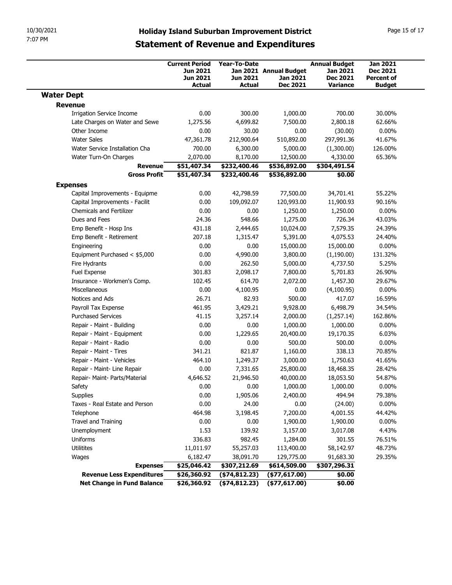|                                                        | 10/30/2021<br><b>Holiday Island Suburban Improvement District</b><br>7:07 PM |                          |                             |                                    |                                    |  |  |  |
|--------------------------------------------------------|------------------------------------------------------------------------------|--------------------------|-----------------------------|------------------------------------|------------------------------------|--|--|--|
|                                                        | <b>Statement of Revenue and Expenditures</b>                                 |                          |                             |                                    |                                    |  |  |  |
|                                                        | <b>Current Period</b><br>Jun 2021                                            | <b>Year-To-Date</b>      | Jan 2021 Annual Budget      | <b>Annual Budget</b><br>Jan 2021   | <b>Jan 2021</b><br>Dec 2021        |  |  |  |
|                                                        | Jun 2021<br><b>Actual</b>                                                    | Jun 2021<br>Actual       | Jan 2021<br><b>Dec 2021</b> | <b>Dec 2021</b><br><b>Variance</b> | <b>Percent of</b><br><b>Budget</b> |  |  |  |
| <b>Water Dept</b>                                      |                                                                              |                          |                             |                                    |                                    |  |  |  |
| <b>Revenue</b><br><b>Irrigation Service Income</b>     | 0.00                                                                         | 300.00                   | 1,000.00                    | 700.00                             | 30.00%                             |  |  |  |
| Late Charges on Water and Sewe                         | 1,275.56                                                                     | 4,699.82                 | 7,500.00                    | 2,800.18                           | 62.66%                             |  |  |  |
| Other Income                                           | 0.00                                                                         | 30.00                    | 0.00                        | (30.00)                            | $0.00\%$                           |  |  |  |
| <b>Water Sales</b>                                     | 47,361.78                                                                    | 212,900.64               | 510,892.00                  | 297,991.36                         | 41.67%                             |  |  |  |
| Water Service Installation Cha                         | 700.00                                                                       | 6,300.00                 | 5,000.00                    | (1,300.00)                         | 126.00%                            |  |  |  |
| Water Turn-On Charges<br>Revenue                       | 2,070.00<br>\$51,407.34                                                      | 8,170.00<br>\$232,400.46 | 12,500.00<br>\$536,892.00   | 4,330.00<br>\$304,491.54           | 65.36%                             |  |  |  |
| <b>Gross Profit</b>                                    | \$51,407.34                                                                  | \$232,400.46             | \$536,892.00                | \$0.00                             |                                    |  |  |  |
| <b>Expenses</b>                                        |                                                                              |                          |                             |                                    |                                    |  |  |  |
| Capital Improvements - Equipme                         | 0.00                                                                         | 42,798.59                | 77,500.00                   | 34,701.41                          | 55.22%                             |  |  |  |
| Capital Improvements - Facilit                         | 0.00                                                                         | 109,092.07               | 120,993.00                  | 11,900.93                          | 90.16%                             |  |  |  |
| Chemicals and Fertilizer<br>Dues and Fees              | 0.00<br>24.36                                                                | 0.00<br>548.66           | 1,250.00<br>1,275.00        | 1,250.00<br>726.34                 | $0.00\%$<br>43.03%                 |  |  |  |
| Emp Benefit - Hosp Ins                                 | 431.18                                                                       | 2,444.65                 | 10,024.00                   | 7,579.35                           | 24.39%                             |  |  |  |
| Emp Benefit - Retirement                               | 207.18                                                                       | 1,315.47                 | 5,391.00                    | 4,075.53                           | 24.40%                             |  |  |  |
| Engineering                                            | 0.00                                                                         | 0.00                     | 15,000.00                   | 15,000.00                          | $0.00\%$                           |  |  |  |
| Equipment Purchased < \$5,000                          | 0.00                                                                         | 4,990.00                 | 3,800.00                    | (1,190.00)                         | 131.32%                            |  |  |  |
| Fire Hydrants<br>Fuel Expense                          | 0.00<br>301.83                                                               | 262.50<br>2,098.17       | 5,000.00<br>7,800.00        | 4,737.50<br>5,701.83               | 5.25%<br>26.90%                    |  |  |  |
| Insurance - Workmen's Comp.                            | 102.45                                                                       | 614.70                   | 2,072.00                    | 1,457.30                           | 29.67%                             |  |  |  |
| Miscellaneous                                          | 0.00                                                                         | 4,100.95                 | 0.00                        | (4,100.95)                         | $0.00\%$                           |  |  |  |
| Notices and Ads                                        | 26.71                                                                        | 82.93                    | 500.00                      | 417.07                             | 16.59%                             |  |  |  |
| Payroll Tax Expense                                    | 461.95                                                                       | 3,429.21                 | 9,928.00                    | 6,498.79                           | 34.54%                             |  |  |  |
| <b>Purchased Services</b><br>Repair - Maint - Building | 41.15<br>0.00                                                                | 3,257.14<br>0.00         | 2,000.00<br>1,000.00        | (1,257.14)<br>1,000.00             | 162.86%<br>$0.00\%$                |  |  |  |
| Repair - Maint - Equipment                             | 0.00                                                                         | 1,229.65                 | 20,400.00                   | 19,170.35                          | 6.03%                              |  |  |  |
| Repair - Maint - Radio                                 | 0.00                                                                         | 0.00                     | 500.00                      | 500.00                             | $0.00\%$                           |  |  |  |
| Repair - Maint - Tires                                 | 341.21                                                                       | 821.87                   | 1,160.00                    | 338.13                             | 70.85%                             |  |  |  |
| Repair - Maint - Vehicles                              | 464.10                                                                       | 1,249.37                 | 3,000.00                    | 1,750.63                           | 41.65%                             |  |  |  |
| Repair - Maint- Line Repair                            | 0.00                                                                         | 7,331.65                 | 25,800.00                   | 18,468.35                          | 28.42%                             |  |  |  |
| Repair- Maint- Parts/Material<br>Safety                | 4,646.52<br>0.00                                                             | 21,946.50<br>0.00        | 40,000.00<br>1,000.00       | 18,053.50<br>1,000.00              | 54.87%<br>$0.00\%$                 |  |  |  |
| Supplies                                               | 0.00                                                                         | 1,905.06                 | 2,400.00                    | 494.94                             | 79.38%                             |  |  |  |
| Taxes - Real Estate and Person                         | 0.00                                                                         | 24.00                    | 0.00                        | (24.00)                            | $0.00\%$                           |  |  |  |
| Telephone                                              | 464.98                                                                       | 3,198.45                 | 7,200.00                    | 4,001.55                           | 44.42%                             |  |  |  |
| Travel and Training                                    | 0.00                                                                         | 0.00                     | 1,900.00                    | 1,900.00                           | $0.00\%$                           |  |  |  |
| Unemployment                                           | 1.53                                                                         | 139.92                   | 3,157.00                    | 3,017.08                           | 4.43%                              |  |  |  |
| Uniforms                                               | 336.83                                                                       | 982.45                   | 1,284.00                    | 301.55                             | 76.51%                             |  |  |  |
| Utilitites<br>Wages                                    | 11,011.97<br>6,182.47                                                        | 55,257.03<br>38,091.70   | 113,400.00<br>129,775.00    | 58,142.97<br>91,683.30             | 48.73%<br>29.35%                   |  |  |  |
| <b>Expenses</b>                                        | \$25,046.42                                                                  | \$307,212.69             | \$614,509.00                | \$307,296.31                       |                                    |  |  |  |
|                                                        | \$26,360.92                                                                  | $($ \$74,812.23 $)$      | $($ \$77,617.00)            | \$0.00                             |                                    |  |  |  |
| <b>Revenue Less Expenditures</b>                       |                                                                              | ( \$74, 812.23)          | $($ \$77,617.00)            | \$0.00                             |                                    |  |  |  |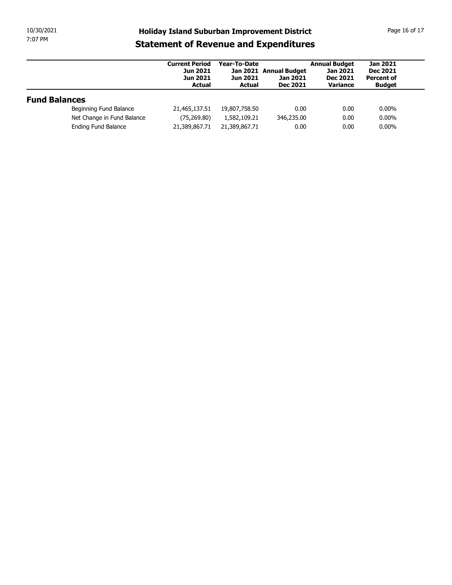| 10/30/2021<br>7:07 PM |                            | <b>Holiday Island Suburban Improvement District</b>                   |                                           |                                                       |                                                                 | Page 16 of 17                                           |
|-----------------------|----------------------------|-----------------------------------------------------------------------|-------------------------------------------|-------------------------------------------------------|-----------------------------------------------------------------|---------------------------------------------------------|
|                       |                            | <b>Statement of Revenue and Expenditures</b>                          |                                           |                                                       |                                                                 |                                                         |
|                       |                            | <b>Current Period</b><br><b>Jun 2021</b><br>Jun 2021<br><b>Actual</b> | Year-To-Date<br>Jun 2021<br><b>Actual</b> | Jan 2021 Annual Budget<br>Jan 2021<br><b>Dec 2021</b> | <b>Annual Budget</b><br>Jan 2021<br><b>Dec 2021</b><br>Variance | <b>Jan 2021</b><br><b>Dec 2021</b><br><b>Percent of</b> |
|                       |                            |                                                                       |                                           |                                                       |                                                                 | <b>Budget</b>                                           |
| <b>Fund Balances</b>  |                            |                                                                       |                                           |                                                       |                                                                 |                                                         |
|                       | Beginning Fund Balance     | 21,465,137.51                                                         | 19,807,758.50                             | 0.00                                                  | 0.00                                                            | $0.00\%$                                                |
|                       | Net Change in Fund Balance | (75, 269.80)                                                          | 1,582,109.21                              | 346,235.00                                            | 0.00                                                            | $0.00\%$                                                |
|                       | Ending Fund Balance        | 21,389,867.71                                                         | 21,389,867.71                             | 0.00                                                  | 0.00                                                            | $0.00\%$                                                |
|                       |                            |                                                                       |                                           |                                                       |                                                                 |                                                         |
|                       |                            |                                                                       |                                           |                                                       |                                                                 |                                                         |
|                       |                            |                                                                       |                                           |                                                       |                                                                 |                                                         |